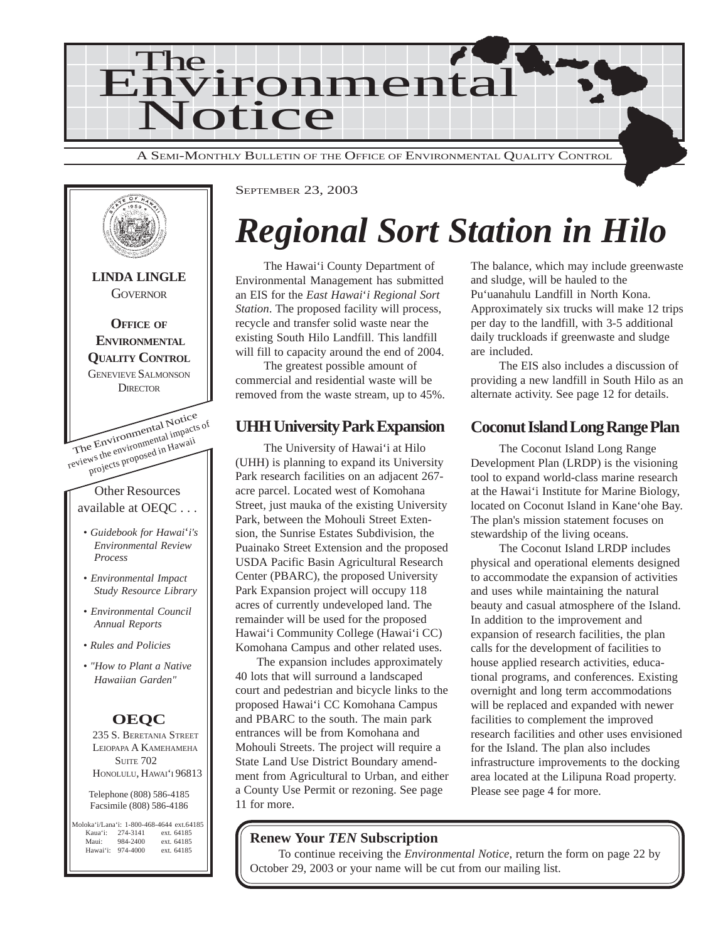



SEPTEMBER 23, 2003

# *Regional Sort Station in Hilo*

The Hawai'i County Department of Environmental Management has submitted an EIS for the *East Hawai*'*i Regional Sort Station*. The proposed facility will process, recycle and transfer solid waste near the existing South Hilo Landfill. This landfill will fill to capacity around the end of 2004.

The greatest possible amount of commercial and residential waste will be removed from the waste stream, up to 45%.

#### **UHH University Park Expansion**

The University of Hawai'i at Hilo (UHH) is planning to expand its University Park research facilities on an adjacent 267 acre parcel. Located west of Komohana Street, just mauka of the existing University Park, between the Mohouli Street Extension, the Sunrise Estates Subdivision, the Puainako Street Extension and the proposed USDA Pacific Basin Agricultural Research Center (PBARC), the proposed University Park Expansion project will occupy 118 acres of currently undeveloped land. The remainder will be used for the proposed Hawai'i Community College (Hawai'i CC) Komohana Campus and other related uses.

The expansion includes approximately 40 lots that will surround a landscaped court and pedestrian and bicycle links to the proposed Hawai'i CC Komohana Campus and PBARC to the south. The main park entrances will be from Komohana and Mohouli Streets. The project will require a State Land Use District Boundary amendment from Agricultural to Urban, and either a County Use Permit or rezoning. See page 11 for more.

The balance, which may include greenwaste and sludge, will be hauled to the Pu'uanahulu Landfill in North Kona. Approximately six trucks will make 12 trips per day to the landfill, with 3-5 additional daily truckloads if greenwaste and sludge are included.

The EIS also includes a discussion of providing a new landfill in South Hilo as an alternate activity. See page 12 for details.

#### **Coconut Island Long Range Plan**

The Coconut Island Long Range Development Plan (LRDP) is the visioning tool to expand world-class marine research at the Hawai'i Institute for Marine Biology, located on Coconut Island in Kane'ohe Bay. The plan's mission statement focuses on stewardship of the living oceans.

The Coconut Island LRDP includes physical and operational elements designed to accommodate the expansion of activities and uses while maintaining the natural beauty and casual atmosphere of the Island. In addition to the improvement and expansion of research facilities, the plan calls for the development of facilities to house applied research activities, educational programs, and conferences. Existing overnight and long term accommodations will be replaced and expanded with newer facilities to complement the improved research facilities and other uses envisioned for the Island. The plan also includes infrastructure improvements to the docking area located at the Lilipuna Road property. Please see page 4 for more.

#### **Renew Your** *TEN* **Subscription**

To continue receiving the *Environmental Notice*, return the form on page 22 by October 29, 2003 or your name will be cut from our mailing list.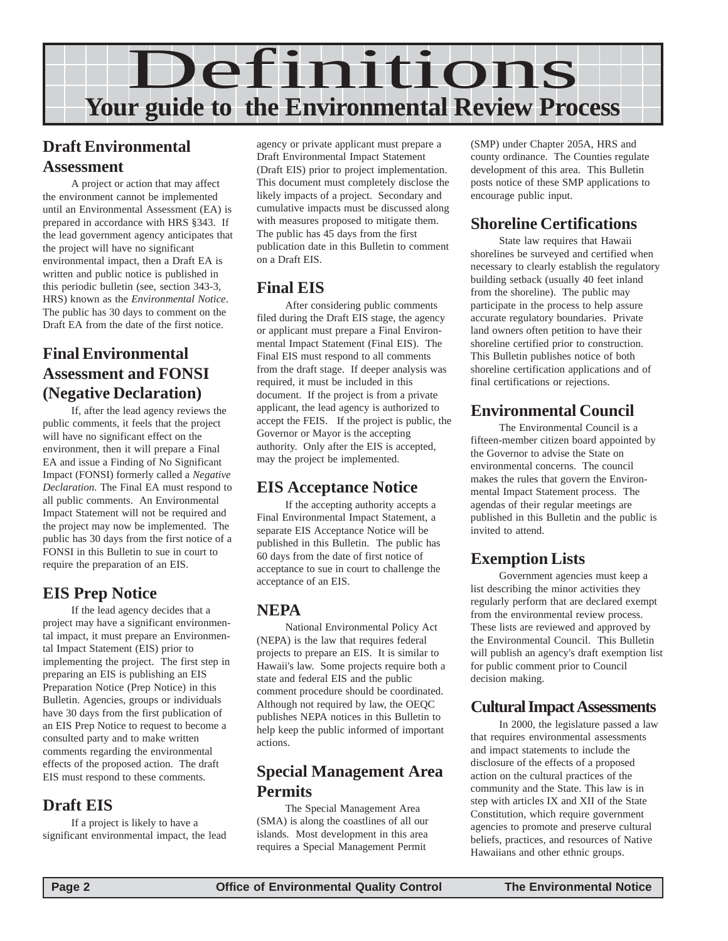

#### **Draft Environmental Assessment**

A project or action that may affect the environment cannot be implemented until an Environmental Assessment (EA) is prepared in accordance with HRS §343. If the lead government agency anticipates that the project will have no significant environmental impact, then a Draft EA is written and public notice is published in this periodic bulletin (see, section 343-3, HRS) known as the *Environmental Notice*. The public has 30 days to comment on the Draft EA from the date of the first notice.

#### **Final Environmental Assessment and FONSI (Negative Declaration)**

If, after the lead agency reviews the public comments, it feels that the project will have no significant effect on the environment, then it will prepare a Final EA and issue a Finding of No Significant Impact (FONSI) formerly called a *Negative Declaration.* The Final EA must respond to all public comments. An Environmental Impact Statement will not be required and the project may now be implemented. The public has 30 days from the first notice of a FONSI in this Bulletin to sue in court to require the preparation of an EIS.

#### **EIS Prep Notice**

If the lead agency decides that a project may have a significant environmental impact, it must prepare an Environmental Impact Statement (EIS) prior to implementing the project. The first step in preparing an EIS is publishing an EIS Preparation Notice (Prep Notice) in this Bulletin. Agencies, groups or individuals have 30 days from the first publication of an EIS Prep Notice to request to become a consulted party and to make written comments regarding the environmental effects of the proposed action. The draft EIS must respond to these comments.

#### **Draft EIS**

If a project is likely to have a significant environmental impact, the lead

agency or private applicant must prepare a Draft Environmental Impact Statement (Draft EIS) prior to project implementation. This document must completely disclose the likely impacts of a project. Secondary and cumulative impacts must be discussed along with measures proposed to mitigate them. The public has 45 days from the first publication date in this Bulletin to comment on a Draft EIS.

#### **Final EIS**

After considering public comments filed during the Draft EIS stage, the agency or applicant must prepare a Final Environmental Impact Statement (Final EIS). The Final EIS must respond to all comments from the draft stage. If deeper analysis was required, it must be included in this document. If the project is from a private applicant, the lead agency is authorized to accept the FEIS. If the project is public, the Governor or Mayor is the accepting authority. Only after the EIS is accepted, may the project be implemented.

#### **EIS Acceptance Notice**

If the accepting authority accepts a Final Environmental Impact Statement, a separate EIS Acceptance Notice will be published in this Bulletin. The public has 60 days from the date of first notice of acceptance to sue in court to challenge the acceptance of an EIS.

#### **NEPA**

National Environmental Policy Act (NEPA) is the law that requires federal projects to prepare an EIS. It is similar to Hawaii's law. Some projects require both a state and federal EIS and the public comment procedure should be coordinated. Although not required by law, the OEQC publishes NEPA notices in this Bulletin to help keep the public informed of important actions.

#### **Special Management Area Permits**

The Special Management Area (SMA) is along the coastlines of all our islands. Most development in this area requires a Special Management Permit

(SMP) under Chapter 205A, HRS and county ordinance. The Counties regulate development of this area. This Bulletin posts notice of these SMP applications to encourage public input.

#### **Shoreline Certifications**

State law requires that Hawaii shorelines be surveyed and certified when necessary to clearly establish the regulatory building setback (usually 40 feet inland from the shoreline). The public may participate in the process to help assure accurate regulatory boundaries. Private land owners often petition to have their shoreline certified prior to construction. This Bulletin publishes notice of both shoreline certification applications and of final certifications or rejections.

#### **Environmental Council**

The Environmental Council is a fifteen-member citizen board appointed by the Governor to advise the State on environmental concerns. The council makes the rules that govern the Environmental Impact Statement process. The agendas of their regular meetings are published in this Bulletin and the public is invited to attend.

#### **Exemption Lists**

Government agencies must keep a list describing the minor activities they regularly perform that are declared exempt from the environmental review process. These lists are reviewed and approved by the Environmental Council. This Bulletin will publish an agency's draft exemption list for public comment prior to Council decision making.

#### **Cultural Impact Assessments**

In 2000, the legislature passed a law that requires environmental assessments and impact statements to include the disclosure of the effects of a proposed action on the cultural practices of the community and the State. This law is in step with articles IX and XII of the State Constitution, which require government agencies to promote and preserve cultural beliefs, practices, and resources of Native Hawaiians and other ethnic groups.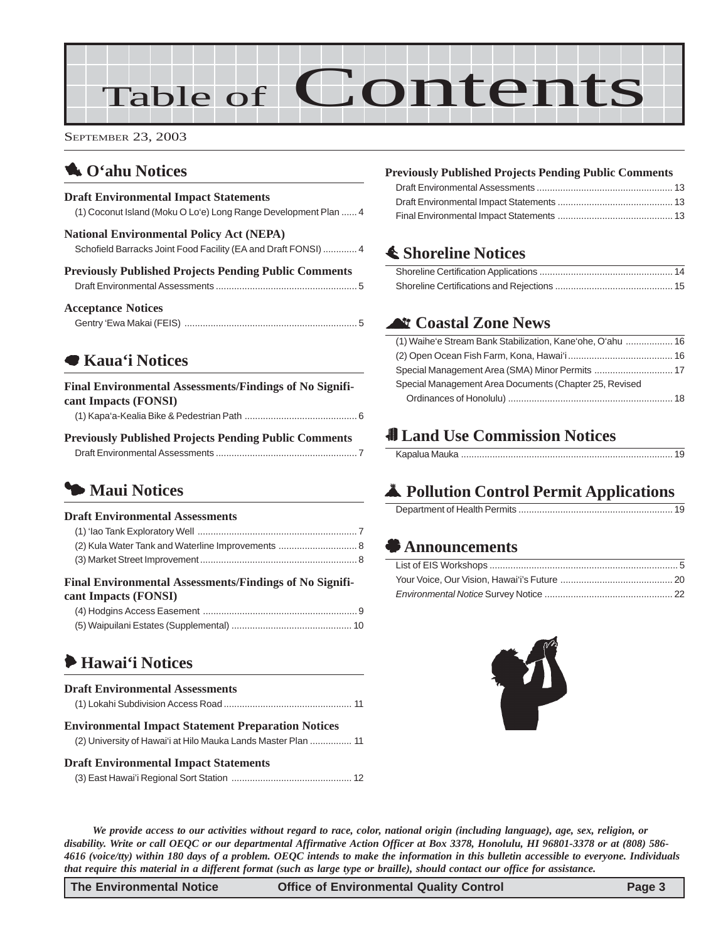# Table of Contents

SEPTEMBER 23, 2003

#### 1 **[O'ahu Notices](#page-3-0)**

#### **Draft Environmental Impact Statements**

[\(1\) Coconut Island \(Moku O Lo'e\) Long Range Development Plan ...... 4](#page-3-0)

| <b>National Environmental Policy Act (NEPA)</b>               |
|---------------------------------------------------------------|
| Schofield Barracks Joint Food Facility (EA and Draft FONSI) 4 |

| <b>Previously Published Projects Pending Public Comments</b> |  |
|--------------------------------------------------------------|--|
|                                                              |  |

#### **Acceptance Notices**

| $\sim$ . $\sim$ . $\sim$ . $\sim$ . $\sim$ . $\sim$ . $\sim$ . $\sim$ . $\sim$ . $\sim$ . $\sim$ . $\sim$ . $\sim$ . $\sim$ . $\sim$ . $\sim$ . $\sim$ . $\sim$ . $\sim$ . $\sim$ . $\sim$ . $\sim$ . $\sim$ . $\sim$ . $\sim$ . $\sim$ . $\sim$ . $\sim$ . $\sim$ . $\sim$ . $\sim$ . $\sim$ |  |
|-----------------------------------------------------------------------------------------------------------------------------------------------------------------------------------------------------------------------------------------------------------------------------------------------|--|
|                                                                                                                                                                                                                                                                                               |  |

#### 7 **Kaua'i Notices**

| Final Environmental Assessments/Findings of No Signifi- |  |
|---------------------------------------------------------|--|
| cant Impacts (FONSI)                                    |  |
|                                                         |  |

#### **Previously Published Projects Pending Public Comments** Draft Environmental Assessments [...................................................... 7](#page-6-0)

#### 3 **Maui Notices**

#### **Draft Environmental Assessments**

| <b>Final Environmental Assessments/Findings of No Signifi-</b><br>cant Impacts (FONSI) |  |
|----------------------------------------------------------------------------------------|--|

#### 6 **Hawai'i Notices**

| <b>Draft Environmental Assessments</b>                        |  |
|---------------------------------------------------------------|--|
|                                                               |  |
| <b>Environmental Impact Statement Preparation Notices</b>     |  |
| (2) University of Hawai'i at Hilo Mauka Lands Master Plan  11 |  |
| <b>Draft Environmental Impact Statements</b>                  |  |
| (3) Fost Hawai'i Regional Sort Station                        |  |

[\(3\) East Hawai'i Regional Sort Station](#page-11-0) .............................................. 12

#### **Previously Published Projects Pending Public Comments**

#### s **Shoreline Notices**

#### ^ **Coastal Zone News**

| (1) Waihe'e Stream Bank Stabilization, Kane'ohe, O'ahu  16 |  |
|------------------------------------------------------------|--|
|                                                            |  |
|                                                            |  |
| Special Management Area Documents (Chapter 25, Revised     |  |
|                                                            |  |
|                                                            |  |

#### 0 **Land Use Commission Notices**

#### V **Pollution Control Permit Applications**

|--|

#### ' **[Announcements](#page-19-0)**



*We provide access to our activities without regard to race, color, national origin (including language), age, sex, religion, or disability. Write or call OEQC or our departmental Affirmative Action Officer at Box 3378, Honolulu, HI 96801-3378 or at (808) 586- 4616 (voice/tty) within 180 days of a problem. OEQC intends to make the information in this bulletin accessible to everyone. Individuals that require this material in a different format (such as large type or braille), should contact our office for assistance.*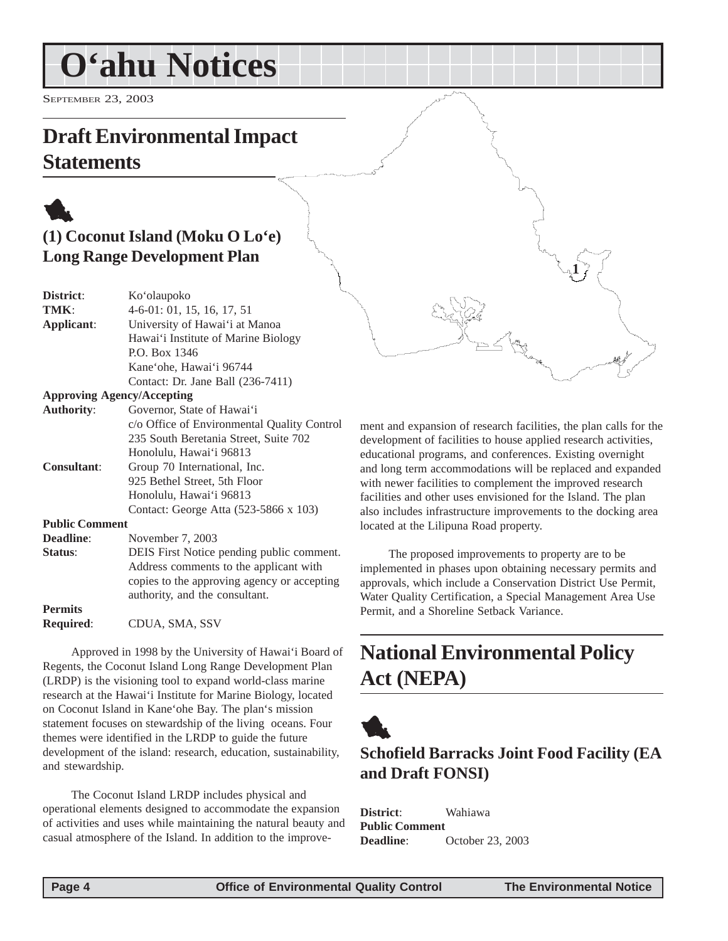# <span id="page-3-0"></span>**O'ahu Notices**

SEPTEMBER 23, 2003

### **Draft Environmental Impact Statements**

### 1 **(1) Coconut Island (Moku O Lo'e) Long Range Development Plan**

| District:         | Ko'olaupoko                                 |  |
|-------------------|---------------------------------------------|--|
| TMK:              | $4-6-01:01, 15, 16, 17, 51$                 |  |
| Applicant:        | University of Hawai'i at Manoa              |  |
|                   | Hawai'i Institute of Marine Biology         |  |
|                   | P.O. Box 1346                               |  |
|                   | Kane'ohe, Hawai'i 96744                     |  |
|                   | Contact: Dr. Jane Ball (236-7411)           |  |
|                   | <b>Approving Agency/Accepting</b>           |  |
| <b>Authority:</b> | Governor, State of Hawai'i                  |  |
|                   | c/o Office of Environmental Quality Control |  |
|                   | 235 South Beretania Street, Suite 702       |  |

Honolulu, Hawai'i 96813 **Consultant**: Group 70 International, Inc. 925 Bethel Street, 5th Floor Honolulu, Hawai'i 96813 Contact: George Atta (523-5866 x 103) **Public Comment**

#### **Deadline**: November 7, 2003 **Status**: DEIS First Notice pending public comment. Address comments to the applicant with copies to the approving agency or accepting authority, and the consultant. **Permits**

**Required**: CDUA, SMA, SSV

Approved in 1998 by the University of Hawai'i Board of Regents, the Coconut Island Long Range Development Plan (LRDP) is the visioning tool to expand world-class marine research at the Hawai'i Institute for Marine Biology, located on Coconut Island in Kane'ohe Bay. The plan's mission statement focuses on stewardship of the living oceans. Four themes were identified in the LRDP to guide the future development of the island: research, education, sustainability, and stewardship.

The Coconut Island LRDP includes physical and operational elements designed to accommodate the expansion of activities and uses while maintaining the natural beauty and casual atmosphere of the Island. In addition to the improve-

ment and expansion of research facilities, the plan calls for the development of facilities to house applied research activities, educational programs, and conferences. Existing overnight and long term accommodations will be replaced and expanded with newer facilities to complement the improved research facilities and other uses envisioned for the Island. The plan also includes infrastructure improvements to the docking area located at the Lilipuna Road property.

**1**

The proposed improvements to property are to be implemented in phases upon obtaining necessary permits and approvals, which include a Conservation District Use Permit, Water Quality Certification, a Special Management Area Use Permit, and a Shoreline Setback Variance.

### **National Environmental Policy Act (NEPA)**



#### **Schofield Barracks Joint Food Facility (EA and Draft FONSI)**

**District**: Wahiawa **Public Comment Deadline**: October 23, 2003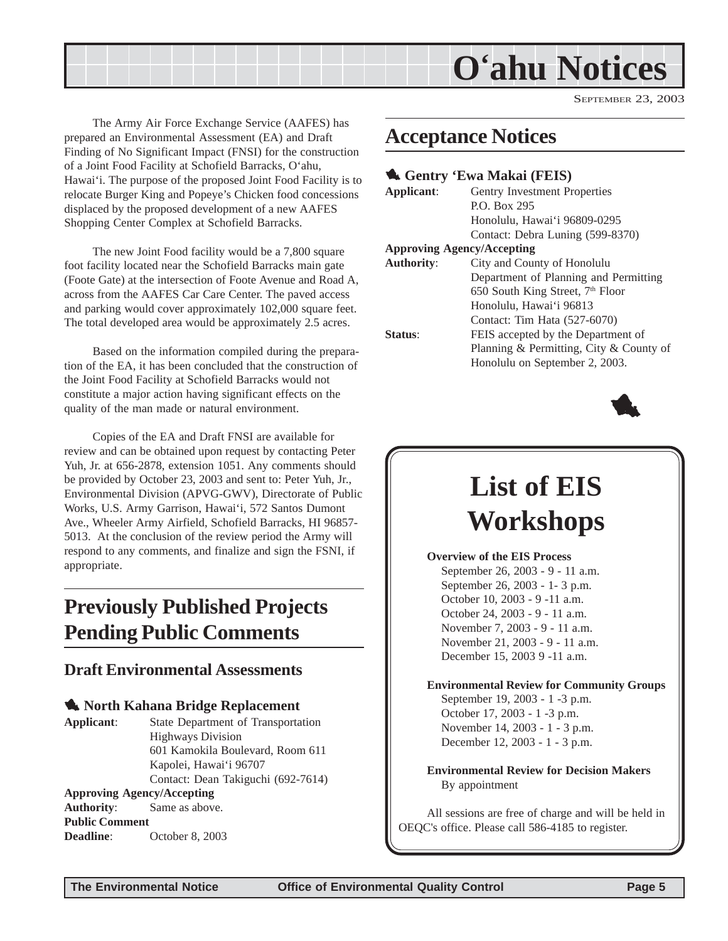<span id="page-4-0"></span>

SEPTEMBER 23, 2003

The Army Air Force Exchange Service (AAFES) has prepared an Environmental Assessment (EA) and Draft Finding of No Significant Impact (FNSI) for the construction of a Joint Food Facility at Schofield Barracks, O'ahu, Hawai'i. The purpose of the proposed Joint Food Facility is to relocate Burger King and Popeye's Chicken food concessions displaced by the proposed development of a new AAFES Shopping Center Complex at Schofield Barracks.

The new Joint Food facility would be a 7,800 square foot facility located near the Schofield Barracks main gate (Foote Gate) at the intersection of Foote Avenue and Road A, across from the AAFES Car Care Center. The paved access and parking would cover approximately 102,000 square feet. The total developed area would be approximately 2.5 acres.

Based on the information compiled during the preparation of the EA, it has been concluded that the construction of the Joint Food Facility at Schofield Barracks would not constitute a major action having significant effects on the quality of the man made or natural environment.

Copies of the EA and Draft FNSI are available for review and can be obtained upon request by contacting Peter Yuh, Jr. at 656-2878, extension 1051. Any comments should be provided by October 23, 2003 and sent to: Peter Yuh, Jr., Environmental Division (APVG-GWV), Directorate of Public Works, U.S. Army Garrison, Hawai'i, 572 Santos Dumont Ave., Wheeler Army Airfield, Schofield Barracks, HI 96857- 5013. At the conclusion of the review period the Army will respond to any comments, and finalize and sign the FSNI, if appropriate.

### **Previously Published Projects Pending Public Comments**

#### **Draft Environmental Assessments**

**1.** North Kahana Bridge Replacement

**Applicant**: State Department of Transportation Highways Division 601 Kamokila Boulevard, Room 611 Kapolei, Hawai'i 96707 Contact: Dean Takiguchi (692-7614)

#### **Approving Agency/Accepting**

**Authority**: Same as above. **Public Comment Deadline**: October 8, 2003

### **Acceptance Notices**

#### 1 **Gentry 'Ewa Makai (FEIS)**

| Applicant:                        | Gentry Investment Properties                 |  |
|-----------------------------------|----------------------------------------------|--|
|                                   | P.O. Box 295                                 |  |
|                                   | Honolulu, Hawai'i 96809-0295                 |  |
|                                   | Contact: Debra Luning (599-8370)             |  |
| <b>Approving Agency/Accepting</b> |                                              |  |
| <b>Authority:</b>                 | City and County of Honolulu                  |  |
|                                   | Department of Planning and Permitting        |  |
|                                   | 650 South King Street, 7 <sup>th</sup> Floor |  |
|                                   | Honolulu, Hawai'i 96813                      |  |
|                                   | Contact: Tim Hata (527-6070)                 |  |
| Status:                           | FEIS accepted by the Department of           |  |
|                                   | Planning & Permitting, City & County of      |  |
|                                   | Honolulu on September 2, 2003.               |  |



### **List of EIS Workshops**

**Overview of the EIS Process** September 26, 2003 - 9 - 11 a.m. September 26, 2003 - 1- 3 p.m. October 10, 2003 - 9 -11 a.m. October 24, 2003 - 9 - 11 a.m. November 7, 2003 - 9 - 11 a.m. November 21, 2003 - 9 - 11 a.m. December 15, 2003 9 -11 a.m.

**Environmental Review for Community Groups** September 19, 2003 - 1 -3 p.m. October 17, 2003 - 1 -3 p.m. November 14, 2003 - 1 - 3 p.m.

December 12, 2003 - 1 - 3 p.m.

**Environmental Review for Decision Makers** By appointment

All sessions are free of charge and will be held in OEQC's office. Please call 586-4185 to register.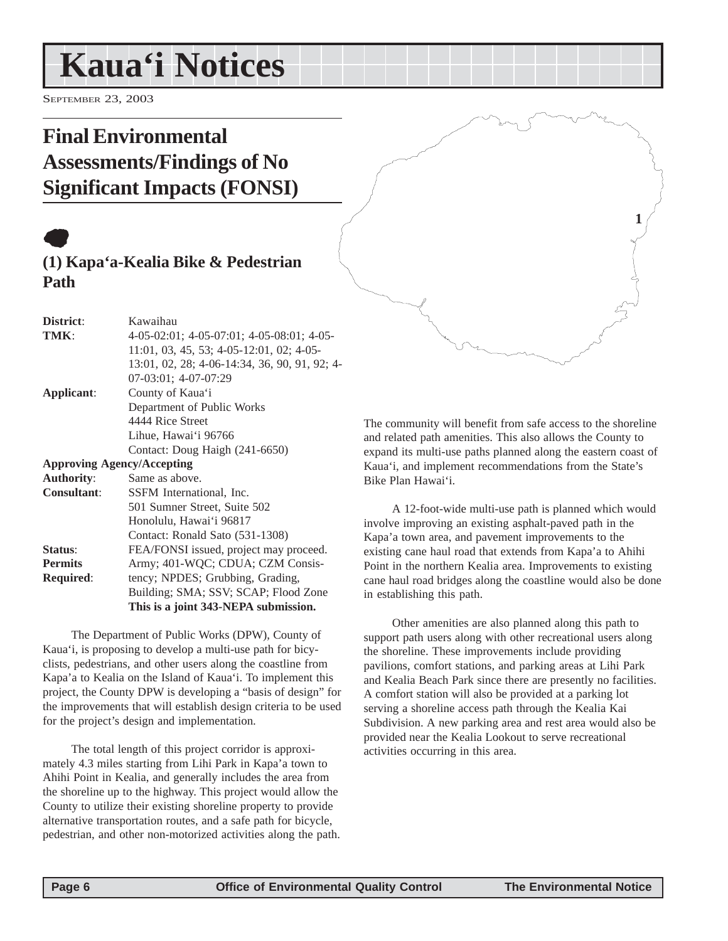# <span id="page-5-0"></span>**Kaua'i Notices**

SEPTEMBER 23, 2003

### **Final Environmental Assessments/Findings of No Significant Impacts (FONSI)**

### $\bullet$ **(1) Kapa'a-Kealia Bike & Pedestrian Path**

| District:                         | Kawaihau                                      |
|-----------------------------------|-----------------------------------------------|
| TMK:                              | 4-05-02:01; 4-05-07:01; 4-05-08:01; 4-05-     |
|                                   | 11:01, 03, 45, 53; 4-05-12:01, 02; 4-05-      |
|                                   | 13:01, 02, 28; 4-06-14:34, 36, 90, 91, 92; 4- |
|                                   | $07-03:01$ ; 4-07-07:29                       |
| Applicant:                        | County of Kaua'i                              |
|                                   | Department of Public Works                    |
|                                   | 4444 Rice Street                              |
|                                   | Lihue, Hawai'i 96766                          |
|                                   | Contact: Doug Haigh (241-6650)                |
| <b>Approving Agency/Accepting</b> |                                               |
| <b>Authority:</b>                 | Same as above.                                |
| <b>Consultant:</b>                | SSFM International, Inc.                      |
|                                   | 501 Sumner Street, Suite 502                  |
|                                   | Honolulu, Hawai'i 96817                       |
|                                   | Contact: Ronald Sato (531-1308)               |
| Status:                           | FEA/FONSI issued, project may proceed.        |
| <b>Permits</b>                    | Army; 401-WQC; CDUA; CZM Consis-              |
| <b>Required:</b>                  | tency; NPDES; Grubbing, Grading,              |
|                                   | Building; SMA; SSV; SCAP; Flood Zone          |
|                                   | This is a joint 343-NEPA submission.          |

The Department of Public Works (DPW), County of Kaua'i, is proposing to develop a multi-use path for bicyclists, pedestrians, and other users along the coastline from Kapa'a to Kealia on the Island of Kaua'i. To implement this project, the County DPW is developing a "basis of design" for the improvements that will establish design criteria to be used for the project's design and implementation.

The total length of this project corridor is approximately 4.3 miles starting from Lihi Park in Kapa'a town to Ahihi Point in Kealia, and generally includes the area from the shoreline up to the highway. This project would allow the County to utilize their existing shoreline property to provide alternative transportation routes, and a safe path for bicycle, pedestrian, and other non-motorized activities along the path. **1**

The community will benefit from safe access to the shoreline and related path amenities. This also allows the County to expand its multi-use paths planned along the eastern coast of Kaua'i, and implement recommendations from the State's Bike Plan Hawai'i.

A 12-foot-wide multi-use path is planned which would involve improving an existing asphalt-paved path in the Kapa'a town area, and pavement improvements to the existing cane haul road that extends from Kapa'a to Ahihi Point in the northern Kealia area. Improvements to existing cane haul road bridges along the coastline would also be done in establishing this path.

Other amenities are also planned along this path to support path users along with other recreational users along the shoreline. These improvements include providing pavilions, comfort stations, and parking areas at Lihi Park and Kealia Beach Park since there are presently no facilities. A comfort station will also be provided at a parking lot serving a shoreline access path through the Kealia Kai Subdivision. A new parking area and rest area would also be provided near the Kealia Lookout to serve recreational activities occurring in this area.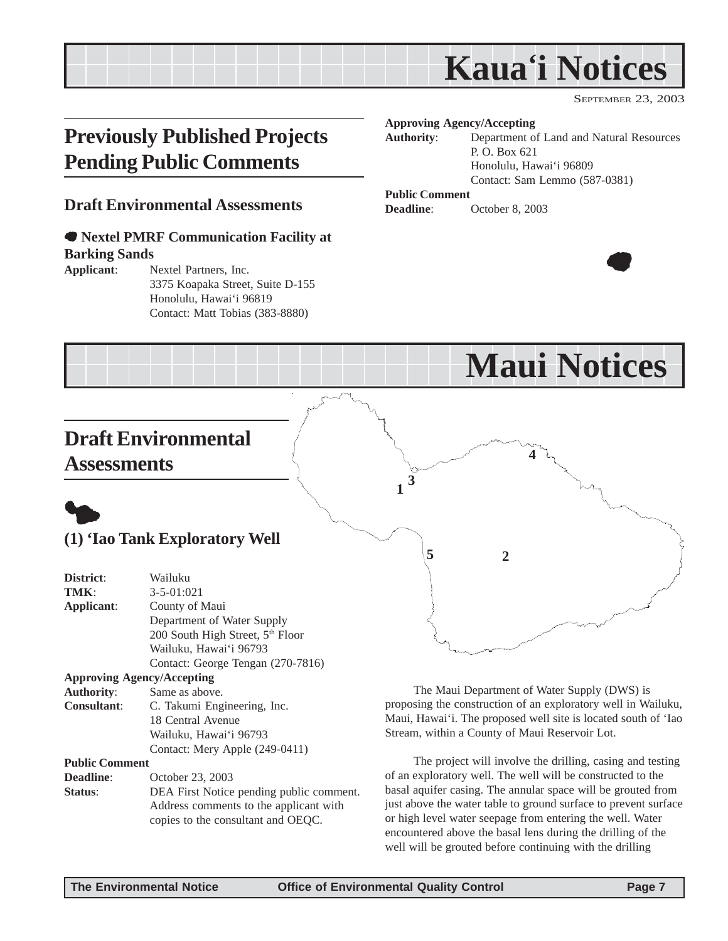# **Kaua'i Notices**

**Maui Notices**

SEPTEMBER 23, 2003

### <span id="page-6-0"></span>**Previously Published Projects Pending Public Comments**

#### **Draft Environmental Assessments**

#### 7 **Nextel PMRF Communication Facility at Barking Sands**

**Applicant**: Nextel Partners, Inc. 3375 Koapaka Street, Suite D-155 Honolulu, Hawai'i 96819 Contact: Matt Tobias (383-8880)

#### **Approving Agency/Accepting**

**Authority**: Department of Land and Natural Resources P. O. Box 621 Honolulu, Hawai'i 96809 Contact: Sam Lemmo (587-0381)

#### **Public Comment**

**3**

**1**

**Deadline**: October 8, 2003

**5 2**



### **Draft Environmental Assessments**



#### **(1) 'Iao Tank Exploratory Well**

| District:             | Wailuku                                      |  |
|-----------------------|----------------------------------------------|--|
| TMK:                  | $3 - 5 - 01:021$                             |  |
| Applicant:            | County of Maui                               |  |
|                       | Department of Water Supply                   |  |
|                       | 200 South High Street, 5 <sup>th</sup> Floor |  |
|                       | Wailuku, Hawai'i 96793                       |  |
|                       | Contact: George Tengan (270-7816)            |  |
|                       | <b>Approving Agency/Accepting</b>            |  |
| <b>Authority:</b>     | Same as above.                               |  |
| <b>Consultant:</b>    | C. Takumi Engineering, Inc.                  |  |
|                       | 18 Central Avenue                            |  |
|                       | Wailuku, Hawai'i 96793                       |  |
|                       | Contact: Mery Apple (249-0411)               |  |
| <b>Public Comment</b> |                                              |  |
| Deadline:             | October 23, 2003                             |  |
| Status:               | DEA First Notice pending public comment.     |  |
|                       | Address comments to the applicant with       |  |
|                       | copies to the consultant and OEQC.           |  |

The Maui Department of Water Supply (DWS) is

**4**

proposing the construction of an exploratory well in Wailuku, Maui, Hawai'i. The proposed well site is located south of 'Iao Stream, within a County of Maui Reservoir Lot.

The project will involve the drilling, casing and testing of an exploratory well. The well will be constructed to the basal aquifer casing. The annular space will be grouted from just above the water table to ground surface to prevent surface or high level water seepage from entering the well. Water encountered above the basal lens during the drilling of the well will be grouted before continuing with the drilling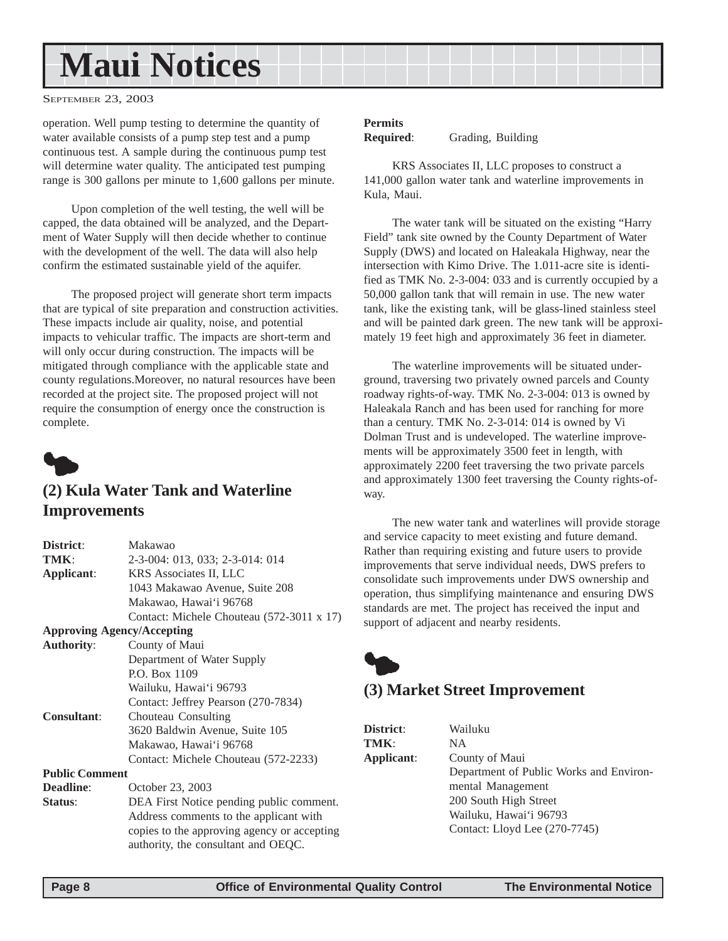# <span id="page-7-0"></span>**Maui Notices**

SEPTEMBER 23, 2003

operation. Well pump testing to determine the quantity of water available consists of a pump step test and a pump continuous test. A sample during the continuous pump test will determine water quality. The anticipated test pumping range is 300 gallons per minute to 1,600 gallons per minute.

Upon completion of the well testing, the well will be capped, the data obtained will be analyzed, and the Department of Water Supply will then decide whether to continue with the development of the well. The data will also help confirm the estimated sustainable yield of the aquifer.

The proposed project will generate short term impacts that are typical of site preparation and construction activities. These impacts include air quality, noise, and potential impacts to vehicular traffic. The impacts are short-term and will only occur during construction. The impacts will be mitigated through compliance with the applicable state and county regulations.Moreover, no natural resources have been recorded at the project site. The proposed project will not require the consumption of energy once the construction is complete.



#### **(2) Kula Water Tank and Waterline Improvements**

| Makawao                                                                                                                                                                  |  |
|--------------------------------------------------------------------------------------------------------------------------------------------------------------------------|--|
| 2-3-004: 013, 033; 2-3-014: 014                                                                                                                                          |  |
| KRS Associates II, LLC                                                                                                                                                   |  |
| 1043 Makawao Avenue, Suite 208                                                                                                                                           |  |
| Makawao, Hawai'i 96768                                                                                                                                                   |  |
| Contact: Michele Chouteau (572-3011 x 17)                                                                                                                                |  |
| <b>Approving Agency/Accepting</b>                                                                                                                                        |  |
| County of Maui                                                                                                                                                           |  |
| Department of Water Supply                                                                                                                                               |  |
| P.O. Box 1109                                                                                                                                                            |  |
| Wailuku, Hawai'i 96793                                                                                                                                                   |  |
| Contact: Jeffrey Pearson (270-7834)                                                                                                                                      |  |
| Chouteau Consulting                                                                                                                                                      |  |
| 3620 Baldwin Avenue, Suite 105                                                                                                                                           |  |
| Makawao, Hawai'i 96768                                                                                                                                                   |  |
| Contact: Michele Chouteau (572-2233)                                                                                                                                     |  |
| <b>Public Comment</b>                                                                                                                                                    |  |
| October 23, 2003                                                                                                                                                         |  |
| DEA First Notice pending public comment.<br>Address comments to the applicant with<br>copies to the approving agency or accepting<br>authority, the consultant and OEQC. |  |
|                                                                                                                                                                          |  |

#### **Permits**

**Required**: Grading, Building

KRS Associates II, LLC proposes to construct a 141,000 gallon water tank and waterline improvements in Kula, Maui.

The water tank will be situated on the existing "Harry Field" tank site owned by the County Department of Water Supply (DWS) and located on Haleakala Highway, near the intersection with Kimo Drive. The 1.011-acre site is identified as TMK No. 2-3-004: 033 and is currently occupied by a 50,000 gallon tank that will remain in use. The new water tank, like the existing tank, will be glass-lined stainless steel and will be painted dark green. The new tank will be approximately 19 feet high and approximately 36 feet in diameter.

The waterline improvements will be situated underground, traversing two privately owned parcels and County roadway rights-of-way. TMK No. 2-3-004: 013 is owned by Haleakala Ranch and has been used for ranching for more than a century. TMK No. 2-3-014: 014 is owned by Vi Dolman Trust and is undeveloped. The waterline improvements will be approximately 3500 feet in length, with approximately 2200 feet traversing the two private parcels and approximately 1300 feet traversing the County rights-ofway.

The new water tank and waterlines will provide storage and service capacity to meet existing and future demand. Rather than requiring existing and future users to provide improvements that serve individual needs, DWS prefers to consolidate such improvements under DWS ownership and operation, thus simplifying maintenance and ensuring DWS standards are met. The project has received the input and support of adjacent and nearby residents.



#### **(3) Market Street Improvement**

**District**: Wailuku

| District:         |
|-------------------|
| TMK:              |
| <b>Applicant:</b> |
|                   |

**TMK**: NA **County of Maui** Department of Public Works and Environmental Management 200 South High Street Wailuku, Hawai'i 96793 Contact: Lloyd Lee (270-7745)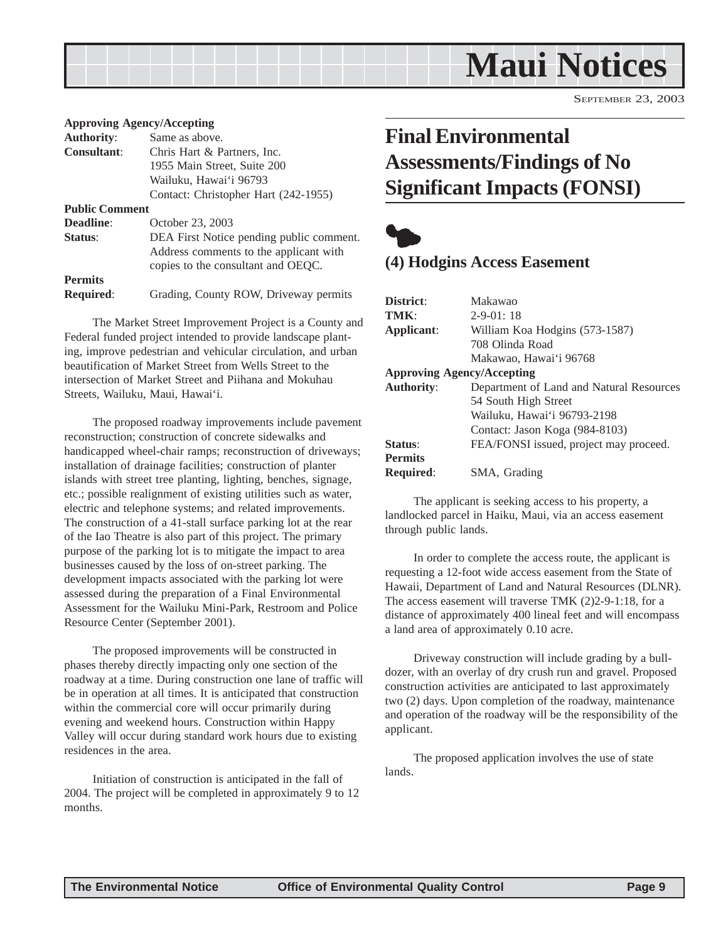<span id="page-8-0"></span>

SEPTEMBER 23, 2003

#### **Approving Agency/Accepting**

| <b>Authority:</b>     | Same as above.                           |
|-----------------------|------------------------------------------|
| <b>Consultant:</b>    | Chris Hart & Partners, Inc.              |
|                       | 1955 Main Street, Suite 200              |
|                       | Wailuku, Hawai'i 96793                   |
|                       | Contact: Christopher Hart (242-1955)     |
| <b>Public Comment</b> |                                          |
| <b>Deadline:</b>      | October 23, 2003                         |
| Status:               | DEA First Notice pending public comment. |
|                       | Address comments to the applicant with   |
|                       | copies to the consultant and OEQC.       |
| <b>Permits</b>        |                                          |
| <b>Required:</b>      | Grading, County ROW, Driveway permits    |
|                       |                                          |

The Market Street Improvement Project is a County and Federal funded project intended to provide landscape planting, improve pedestrian and vehicular circulation, and urban beautification of Market Street from Wells Street to the intersection of Market Street and Piihana and Mokuhau Streets, Wailuku, Maui, Hawai'i.

The proposed roadway improvements include pavement reconstruction; construction of concrete sidewalks and handicapped wheel-chair ramps; reconstruction of driveways; installation of drainage facilities; construction of planter islands with street tree planting, lighting, benches, signage, etc.; possible realignment of existing utilities such as water, electric and telephone systems; and related improvements. The construction of a 41-stall surface parking lot at the rear of the Iao Theatre is also part of this project. The primary purpose of the parking lot is to mitigate the impact to area businesses caused by the loss of on-street parking. The development impacts associated with the parking lot were assessed during the preparation of a Final Environmental Assessment for the Wailuku Mini-Park, Restroom and Police Resource Center (September 2001).

The proposed improvements will be constructed in phases thereby directly impacting only one section of the roadway at a time. During construction one lane of traffic will be in operation at all times. It is anticipated that construction within the commercial core will occur primarily during evening and weekend hours. Construction within Happy Valley will occur during standard work hours due to existing residences in the area.

Initiation of construction is anticipated in the fall of 2004. The project will be completed in approximately 9 to 12 months.

### **Final Environmental Assessments/Findings of No Significant Impacts (FONSI)**



#### **(4) Hodgins Access Easement**

| District:                                                     | Makawao                                |  |
|---------------------------------------------------------------|----------------------------------------|--|
| TMK:                                                          | $2 - 9 - 01:18$                        |  |
| Applicant:                                                    | William Koa Hodgins (573-1587)         |  |
|                                                               | 708 Olinda Road                        |  |
|                                                               | Makawao, Hawai'i 96768                 |  |
| <b>Approving Agency/Accepting</b>                             |                                        |  |
| <b>Authority:</b><br>Department of Land and Natural Resources |                                        |  |
|                                                               | 54 South High Street                   |  |
|                                                               | Wailuku, Hawai'i 96793-2198            |  |
|                                                               | Contact: Jason Koga (984-8103)         |  |
| Status:                                                       | FEA/FONSI issued, project may proceed. |  |
| <b>Permits</b>                                                |                                        |  |
| <b>Required:</b>                                              | SMA, Grading                           |  |

The applicant is seeking access to his property, a landlocked parcel in Haiku, Maui, via an access easement through public lands.

In order to complete the access route, the applicant is requesting a 12-foot wide access easement from the State of Hawaii, Department of Land and Natural Resources (DLNR). The access easement will traverse TMK (2)2-9-1:18, for a distance of approximately 400 lineal feet and will encompass a land area of approximately 0.10 acre.

Driveway construction will include grading by a bulldozer, with an overlay of dry crush run and gravel. Proposed construction activities are anticipated to last approximately two (2) days. Upon completion of the roadway, maintenance and operation of the roadway will be the responsibility of the applicant.

The proposed application involves the use of state lands.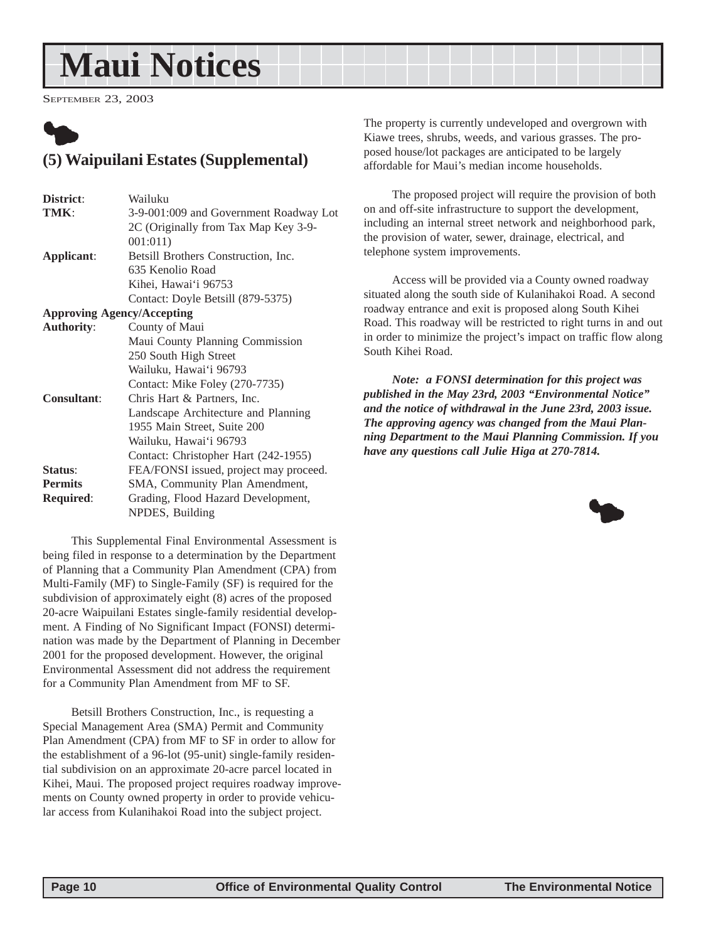# <span id="page-9-0"></span>**Maui Notices**

SEPTEMBER 23, 2003



#### **(5) Waipuilani Estates (Supplemental)**

| District:          | Wailuku                                |
|--------------------|----------------------------------------|
| TMK:               | 3-9-001:009 and Government Roadway Lot |
|                    | 2C (Originally from Tax Map Key 3-9-   |
|                    | 001:011)                               |
| Applicant:         | Betsill Brothers Construction, Inc.    |
|                    | 635 Kenolio Road                       |
|                    | Kihei, Hawai'i 96753                   |
|                    | Contact: Doyle Betsill (879-5375)      |
|                    | <b>Approving Agency/Accepting</b>      |
| <b>Authority:</b>  | County of Maui                         |
|                    | Maui County Planning Commission        |
|                    | 250 South High Street                  |
|                    | Wailuku, Hawai'i 96793                 |
|                    | Contact: Mike Foley (270-7735)         |
| <b>Consultant:</b> | Chris Hart & Partners, Inc.            |
|                    | Landscape Architecture and Planning    |
|                    | 1955 Main Street, Suite 200            |
|                    | Wailuku, Hawai'i 96793                 |
|                    | Contact: Christopher Hart (242-1955)   |
| Status:            | FEA/FONSI issued, project may proceed. |
| <b>Permits</b>     | SMA, Community Plan Amendment,         |
| <b>Required:</b>   | Grading, Flood Hazard Development,     |
|                    | NPDES, Building                        |

This Supplemental Final Environmental Assessment is being filed in response to a determination by the Department of Planning that a Community Plan Amendment (CPA) from Multi-Family (MF) to Single-Family (SF) is required for the subdivision of approximately eight (8) acres of the proposed 20-acre Waipuilani Estates single-family residential development. A Finding of No Significant Impact (FONSI) determination was made by the Department of Planning in December 2001 for the proposed development. However, the original Environmental Assessment did not address the requirement for a Community Plan Amendment from MF to SF.

Betsill Brothers Construction, Inc., is requesting a Special Management Area (SMA) Permit and Community Plan Amendment (CPA) from MF to SF in order to allow for the establishment of a 96-lot (95-unit) single-family residential subdivision on an approximate 20-acre parcel located in Kihei, Maui. The proposed project requires roadway improvements on County owned property in order to provide vehicular access from Kulanihakoi Road into the subject project.

The property is currently undeveloped and overgrown with Kiawe trees, shrubs, weeds, and various grasses. The proposed house/lot packages are anticipated to be largely affordable for Maui's median income households.

The proposed project will require the provision of both on and off-site infrastructure to support the development, including an internal street network and neighborhood park, the provision of water, sewer, drainage, electrical, and telephone system improvements.

Access will be provided via a County owned roadway situated along the south side of Kulanihakoi Road. A second roadway entrance and exit is proposed along South Kihei Road. This roadway will be restricted to right turns in and out in order to minimize the project's impact on traffic flow along South Kihei Road.

*Note: a FONSI determination for this project was published in the May 23rd, 2003 "Environmental Notice" and the notice of withdrawal in the June 23rd, 2003 issue. The approving agency was changed from the Maui Planning Department to the Maui Planning Commission. If you have any questions call Julie Higa at 270-7814.*

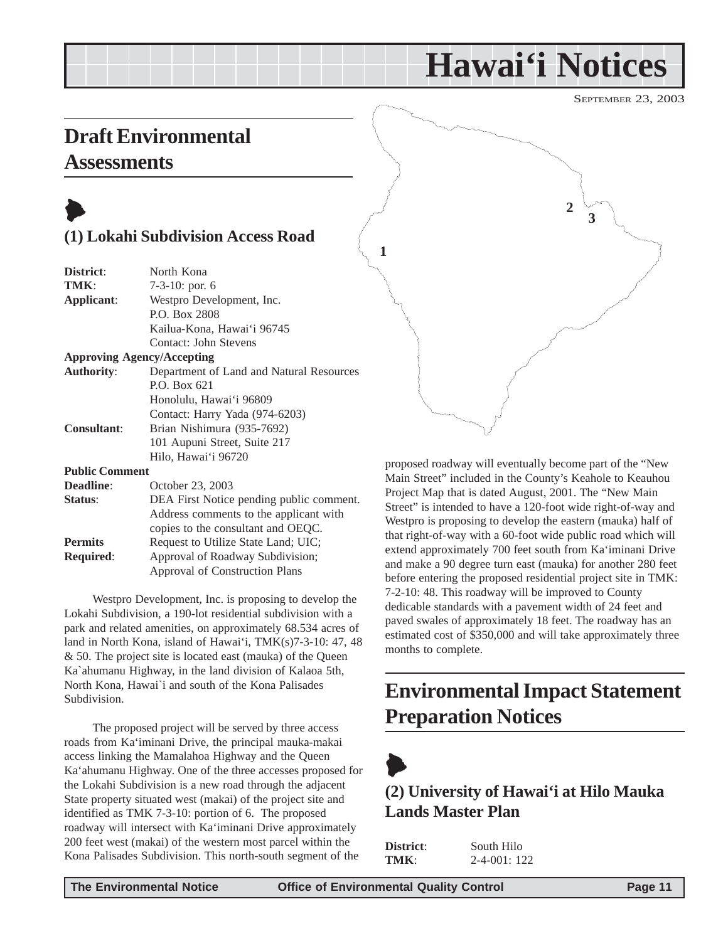# **Hawai'i Notices**

SEPTEMBER 23, 2003

### <span id="page-10-0"></span>**Draft Environmental Assessments**



#### **(1) Lokahi Subdivision Access Road**

| District:                 | North Kona                               |
|---------------------------|------------------------------------------|
| TMK:                      | $7-3-10$ : por. 6                        |
| Applicant:                | Westpro Development, Inc.                |
|                           | P.O. Box 2808                            |
|                           | Kailua-Kona, Hawai'i 96745               |
|                           | Contact: John Stevens                    |
|                           | <b>Approving Agency/Accepting</b>        |
| <b>Authority:</b>         | Department of Land and Natural Resources |
|                           | P.O. Box 621                             |
|                           | Honolulu, Hawai'i 96809                  |
|                           | Contact: Harry Yada (974-6203)           |
| <b>Consultant:</b>        | Brian Nishimura (935-7692)               |
|                           | 101 Aupuni Street, Suite 217             |
|                           | Hilo, Hawai'i 96720                      |
| <b>Public Comment</b>     |                                          |
| $\mathbf{r}$ $\mathbf{r}$ |                                          |

**Deadline**: October 23, 2003 **Status**: DEA First Notice pending public comment. Address comments to the applicant with copies to the consultant and OEQC. **Permits** Request to Utilize State Land; UIC; **Required**: Approval of Roadway Subdivision; Approval of Construction Plans

Westpro Development, Inc. is proposing to develop the Lokahi Subdivision, a 190-lot residential subdivision with a park and related amenities, on approximately 68.534 acres of land in North Kona, island of Hawai'i, TMK(s)7-3-10: 47, 48 & 50. The project site is located east (mauka) of the Queen Ka`ahumanu Highway, in the land division of Kalaoa 5th, North Kona, Hawai`i and south of the Kona Palisades Subdivision.

The proposed project will be served by three access roads from Ka'iminani Drive, the principal mauka-makai access linking the Mamalahoa Highway and the Queen Ka'ahumanu Highway. One of the three accesses proposed for the Lokahi Subdivision is a new road through the adjacent State property situated west (makai) of the project site and identified as TMK 7-3-10: portion of 6. The proposed roadway will intersect with Ka'iminani Drive approximately 200 feet west (makai) of the western most parcel within the Kona Palisades Subdivision. This north-south segment of the



proposed roadway will eventually become part of the "New Main Street" included in the County's Keahole to Keauhou Project Map that is dated August, 2001. The "New Main Street" is intended to have a 120-foot wide right-of-way and Westpro is proposing to develop the eastern (mauka) half of that right-of-way with a 60-foot wide public road which will extend approximately 700 feet south from Ka'iminani Drive and make a 90 degree turn east (mauka) for another 280 feet before entering the proposed residential project site in TMK: 7-2-10: 48. This roadway will be improved to County dedicable standards with a pavement width of 24 feet and paved swales of approximately 18 feet. The roadway has an estimated cost of \$350,000 and will take approximately three months to complete.

### **Environmental Impact Statement Preparation Notices**

 $\blacktriangleright$ 

#### **(2) University of Hawai'i at Hilo Mauka Lands Master Plan**

| <b>District:</b> | South Hilo          |
|------------------|---------------------|
| TMK:             | $2 - 4 - 001$ : 122 |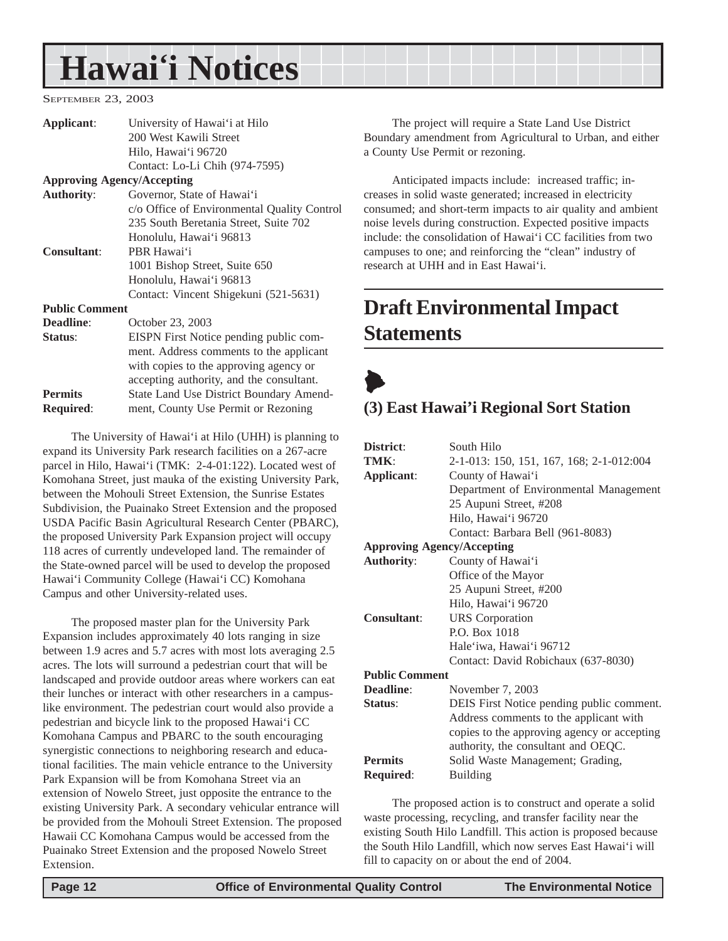# <span id="page-11-0"></span>**Hawai'i Notices**

SEPTEMBER 23, 2003

| Applicant:            | University of Hawai'i at Hilo                  |
|-----------------------|------------------------------------------------|
|                       | 200 West Kawili Street                         |
|                       | Hilo, Hawai'i 96720                            |
|                       | Contact: Lo-Li Chih (974-7595)                 |
|                       | <b>Approving Agency/Accepting</b>              |
| <b>Authority:</b>     | Governor, State of Hawai'i                     |
|                       | c/o Office of Environmental Quality Control    |
|                       | 235 South Beretania Street, Suite 702          |
|                       | Honolulu, Hawai'i 96813                        |
| <b>Consultant:</b>    | PBR Hawai'i                                    |
|                       | 1001 Bishop Street, Suite 650                  |
|                       | Honolulu, Hawai'i 96813                        |
|                       | Contact: Vincent Shigekuni (521-5631)          |
| <b>Public Comment</b> |                                                |
| Deadline:             | October 23, 2003                               |
| Status:               | EISPN First Notice pending public com-         |
|                       | ment. Address comments to the applicant        |
|                       | with copies to the approving agency or         |
|                       | accepting authority, and the consultant.       |
| <b>Permits</b>        | <b>State Land Use District Boundary Amend-</b> |
| <b>Required:</b>      | ment, County Use Permit or Rezoning            |
|                       |                                                |

The University of Hawai'i at Hilo (UHH) is planning to expand its University Park research facilities on a 267-acre parcel in Hilo, Hawai'i (TMK: 2-4-01:122). Located west of Komohana Street, just mauka of the existing University Park, between the Mohouli Street Extension, the Sunrise Estates Subdivision, the Puainako Street Extension and the proposed USDA Pacific Basin Agricultural Research Center (PBARC), the proposed University Park Expansion project will occupy 118 acres of currently undeveloped land. The remainder of the State-owned parcel will be used to develop the proposed Hawai'i Community College (Hawai'i CC) Komohana Campus and other University-related uses.

The proposed master plan for the University Park Expansion includes approximately 40 lots ranging in size between 1.9 acres and 5.7 acres with most lots averaging 2.5 acres. The lots will surround a pedestrian court that will be landscaped and provide outdoor areas where workers can eat their lunches or interact with other researchers in a campuslike environment. The pedestrian court would also provide a pedestrian and bicycle link to the proposed Hawai'i CC Komohana Campus and PBARC to the south encouraging synergistic connections to neighboring research and educational facilities. The main vehicle entrance to the University Park Expansion will be from Komohana Street via an extension of Nowelo Street, just opposite the entrance to the existing University Park. A secondary vehicular entrance will be provided from the Mohouli Street Extension. The proposed Hawaii CC Komohana Campus would be accessed from the Puainako Street Extension and the proposed Nowelo Street Extension.

The project will require a State Land Use District Boundary amendment from Agricultural to Urban, and either a County Use Permit or rezoning.

Anticipated impacts include: increased traffic; increases in solid waste generated; increased in electricity consumed; and short-term impacts to air quality and ambient noise levels during construction. Expected positive impacts include: the consolidation of Hawai'i CC facilities from two campuses to one; and reinforcing the "clean" industry of research at UHH and in East Hawai'i.

### **Draft Environmental Impact Statements**

### $\blacklozenge$ **(3) East Hawai'i Regional Sort Station**

| District:                         | South Hilo                                  |  |  |  |
|-----------------------------------|---------------------------------------------|--|--|--|
| TMK:                              | 2-1-013: 150, 151, 167, 168; 2-1-012:004    |  |  |  |
| Applicant:                        | County of Hawai'i                           |  |  |  |
|                                   | Department of Environmental Management      |  |  |  |
|                                   | 25 Aupuni Street, #208                      |  |  |  |
|                                   | Hilo, Hawai'i 96720                         |  |  |  |
|                                   | Contact: Barbara Bell (961-8083)            |  |  |  |
| <b>Approving Agency/Accepting</b> |                                             |  |  |  |
| <b>Authority:</b>                 | County of Hawai'i                           |  |  |  |
|                                   | Office of the Mayor                         |  |  |  |
|                                   | 25 Aupuni Street, #200                      |  |  |  |
|                                   | Hilo, Hawai'i 96720                         |  |  |  |
| <b>Consultant:</b>                | <b>URS</b> Corporation                      |  |  |  |
|                                   | P.O. Box 1018                               |  |  |  |
|                                   | Hale'iwa, Hawai'i 96712                     |  |  |  |
|                                   | Contact: David Robichaux (637-8030)         |  |  |  |
| <b>Public Comment</b>             |                                             |  |  |  |
| Deadline:                         | November 7, 2003                            |  |  |  |
| Status:                           | DEIS First Notice pending public comment.   |  |  |  |
|                                   | Address comments to the applicant with      |  |  |  |
|                                   | copies to the approving agency or accepting |  |  |  |
|                                   | authority, the consultant and OEQC.         |  |  |  |
| <b>Permits</b>                    | Solid Waste Management; Grading,            |  |  |  |
| <b>Required:</b>                  | Building                                    |  |  |  |

The proposed action is to construct and operate a solid waste processing, recycling, and transfer facility near the existing South Hilo Landfill. This action is proposed because the South Hilo Landfill, which now serves East Hawai'i will fill to capacity on or about the end of 2004.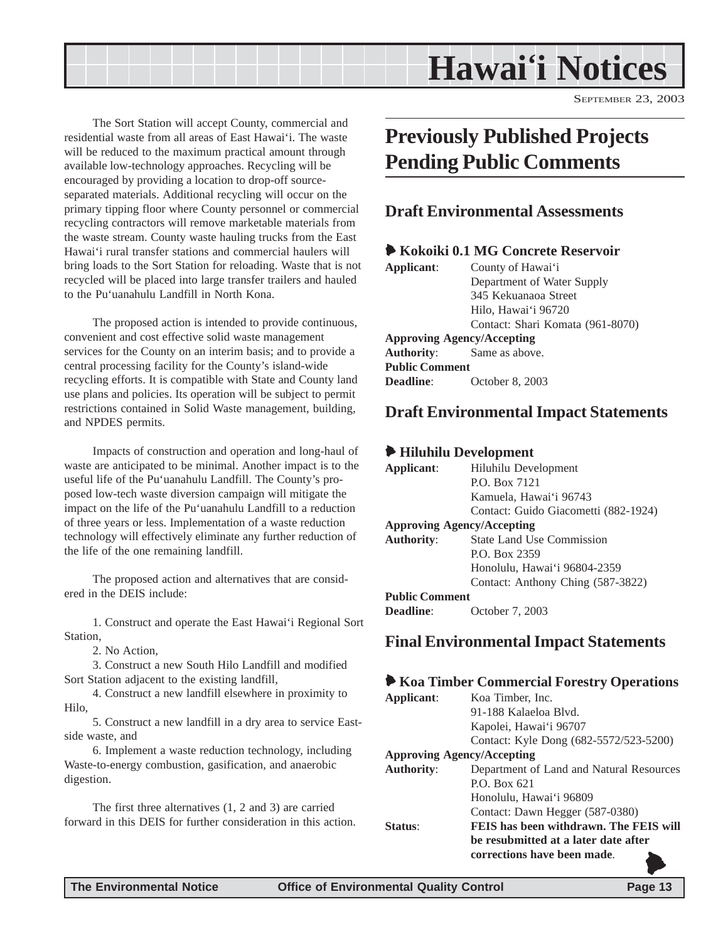# **Hawai'i Notices**

SEPTEMBER 23, 2003

<span id="page-12-0"></span>The Sort Station will accept County, commercial and residential waste from all areas of East Hawai'i. The waste will be reduced to the maximum practical amount through available low-technology approaches. Recycling will be encouraged by providing a location to drop-off sourceseparated materials. Additional recycling will occur on the primary tipping floor where County personnel or commercial recycling contractors will remove marketable materials from the waste stream. County waste hauling trucks from the East Hawai'i rural transfer stations and commercial haulers will bring loads to the Sort Station for reloading. Waste that is not recycled will be placed into large transfer trailers and hauled to the Pu'uanahulu Landfill in North Kona.

The proposed action is intended to provide continuous, convenient and cost effective solid waste management services for the County on an interim basis; and to provide a central processing facility for the County's island-wide recycling efforts. It is compatible with State and County land use plans and policies. Its operation will be subject to permit restrictions contained in Solid Waste management, building, and NPDES permits.

Impacts of construction and operation and long-haul of waste are anticipated to be minimal. Another impact is to the useful life of the Pu'uanahulu Landfill. The County's proposed low-tech waste diversion campaign will mitigate the impact on the life of the Pu'uanahulu Landfill to a reduction of three years or less. Implementation of a waste reduction technology will effectively eliminate any further reduction of the life of the one remaining landfill.

The proposed action and alternatives that are considered in the DEIS include:

1. Construct and operate the East Hawai'i Regional Sort Station,

2. No Action,

3. Construct a new South Hilo Landfill and modified Sort Station adjacent to the existing landfill,

4. Construct a new landfill elsewhere in proximity to Hilo,

5. Construct a new landfill in a dry area to service Eastside waste, and

6. Implement a waste reduction technology, including Waste-to-energy combustion, gasification, and anaerobic digestion.

The first three alternatives (1, 2 and 3) are carried forward in this DEIS for further consideration in this action.

### **Previously Published Projects Pending Public Comments**

#### **Draft Environmental Assessments**

#### 6 **Kokoiki 0.1 MG Concrete Reservoir**

| Applicant:                        | County of Hawai'i                |  |  |
|-----------------------------------|----------------------------------|--|--|
|                                   | Department of Water Supply       |  |  |
|                                   | 345 Kekuanaoa Street             |  |  |
|                                   | Hilo, Hawai'i 96720              |  |  |
|                                   | Contact: Shari Komata (961-8070) |  |  |
| <b>Approving Agency/Accepting</b> |                                  |  |  |
| <b>Authority:</b>                 | Same as above.                   |  |  |
| <b>Public Comment</b>             |                                  |  |  |
| Deadline:                         | October 8, 2003                  |  |  |

#### **Draft Environmental Impact Statements**

#### 6 **Hiluhilu Development**

| Applicant:                        | Hiluhilu Development                 |
|-----------------------------------|--------------------------------------|
|                                   | P.O. Box 7121                        |
|                                   | Kamuela, Hawai'i 96743               |
|                                   | Contact: Guido Giacometti (882-1924) |
| <b>Approving Agency/Accepting</b> |                                      |
| <b>Authority:</b>                 | <b>State Land Use Commission</b>     |
|                                   | P.O. Box 2359                        |
|                                   | Honolulu, Hawai'i 96804-2359         |
|                                   | Contact: Anthony Ching (587-3822)    |
| <b>Public Comment</b>             |                                      |
| <b>Deadline:</b>                  | October 7, 2003                      |

#### **Final Environmental Impact Statements**

#### 6 **Koa Timber Commercial Forestry Operations**

| Applicant:                        | Koa Timber, Inc.                         |
|-----------------------------------|------------------------------------------|
|                                   | 91-188 Kalaeloa Blyd.                    |
|                                   | Kapolei, Hawai'i 96707                   |
|                                   | Contact: Kyle Dong (682-5572/523-5200)   |
| <b>Approving Agency/Accepting</b> |                                          |
| <b>Authority:</b>                 | Department of Land and Natural Resources |
|                                   | $P.$ $O.$ $Box 621$                      |
|                                   | Honolulu, Hawai'i 96809                  |
|                                   | Contact: Dawn Hegger (587-0380)          |
| Status <sup>.</sup>               | FEIS has been withdrawn. The FEIS will   |
|                                   | be resubmitted at a later date after     |
|                                   | corrections have been made.              |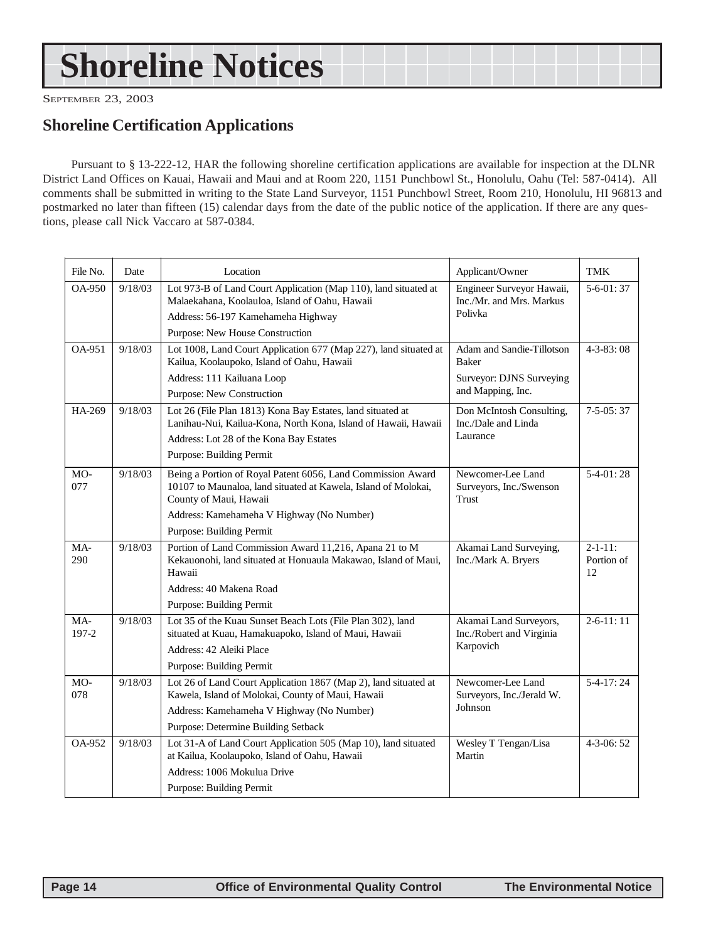# <span id="page-13-0"></span>**Shoreline Notices**

SEPTEMBER 23, 2003

#### **Shoreline Certification Applications**

Pursuant to § 13-222-12, HAR the following shoreline certification applications are available for inspection at the DLNR District Land Offices on Kauai, Hawaii and Maui and at Room 220, 1151 Punchbowl St., Honolulu, Oahu (Tel: 587-0414). All comments shall be submitted in writing to the State Land Surveyor, 1151 Punchbowl Street, Room 210, Honolulu, HI 96813 and postmarked no later than fifteen (15) calendar days from the date of the public notice of the application. If there are any questions, please call Nick Vaccaro at 587-0384.

| File No.     | Date    | Location                                                                                                                                                                                   | Applicant/Owner                                                  | <b>TMK</b>                         |
|--------------|---------|--------------------------------------------------------------------------------------------------------------------------------------------------------------------------------------------|------------------------------------------------------------------|------------------------------------|
| OA-950       | 9/18/03 | Lot 973-B of Land Court Application (Map 110), land situated at<br>Malaekahana, Koolauloa, Island of Oahu, Hawaii<br>Address: 56-197 Kamehameha Highway<br>Purpose: New House Construction | Engineer Surveyor Hawaii,<br>Inc./Mr. and Mrs. Markus<br>Polivka | $5-6-01:37$                        |
| OA-951       | 9/18/03 | Lot 1008, Land Court Application 677 (Map 227), land situated at                                                                                                                           | Adam and Sandie-Tillotson                                        | $4 - 3 - 83$ : 08                  |
|              |         | Kailua, Koolaupoko, Island of Oahu, Hawaii                                                                                                                                                 | <b>Baker</b>                                                     |                                    |
|              |         | Address: 111 Kailuana Loop                                                                                                                                                                 | Surveyor: DJNS Surveying                                         |                                    |
|              |         | Purpose: New Construction                                                                                                                                                                  | and Mapping, Inc.                                                |                                    |
| HA-269       | 9/18/03 | Lot 26 (File Plan 1813) Kona Bay Estates, land situated at<br>Lanihau-Nui, Kailua-Kona, North Kona, Island of Hawaii, Hawaii<br>Address: Lot 28 of the Kona Bay Estates                    | Don McIntosh Consulting,<br>Inc./Dale and Linda<br>Laurance      | $7 - 5 - 05:37$                    |
|              |         | Purpose: Building Permit                                                                                                                                                                   |                                                                  |                                    |
| MO-<br>077   | 9/18/03 | Being a Portion of Royal Patent 6056, Land Commission Award<br>10107 to Maunaloa, land situated at Kawela, Island of Molokai,<br>County of Maui, Hawaii                                    | Newcomer-Lee Land<br>Surveyors, Inc./Swenson<br>Trust            | $5-4-01:28$                        |
|              |         | Address: Kamehameha V Highway (No Number)                                                                                                                                                  |                                                                  |                                    |
|              |         | Purpose: Building Permit                                                                                                                                                                   |                                                                  |                                    |
| MA-<br>290   | 9/18/03 | Portion of Land Commission Award 11,216, Apana 21 to M<br>Kekauonohi, land situated at Honuaula Makawao, Island of Maui,<br>Hawaii                                                         | Akamai Land Surveying,<br>Inc./Mark A. Bryers                    | $2 - 1 - 11$ :<br>Portion of<br>12 |
|              |         | Address: 40 Makena Road                                                                                                                                                                    |                                                                  |                                    |
|              |         | <b>Purpose: Building Permit</b>                                                                                                                                                            |                                                                  |                                    |
| MA-<br>197-2 | 9/18/03 | Lot 35 of the Kuau Sunset Beach Lots (File Plan 302), land<br>situated at Kuau, Hamakuapoko, Island of Maui, Hawaii                                                                        | Akamai Land Surveyors,<br>Inc./Robert and Virginia               | $2-6-11:11$                        |
|              |         | Address: 42 Aleiki Place                                                                                                                                                                   | Karpovich                                                        |                                    |
|              |         | Purpose: Building Permit                                                                                                                                                                   |                                                                  |                                    |
| MO-<br>078   | 9/18/03 | Lot 26 of Land Court Application 1867 (Map 2), land situated at<br>Kawela, Island of Molokai, County of Maui, Hawaii                                                                       | Newcomer-Lee Land<br>Surveyors, Inc./Jerald W.                   | $5-4-17:24$                        |
|              |         | Address: Kamehameha V Highway (No Number)                                                                                                                                                  | Johnson                                                          |                                    |
|              |         | Purpose: Determine Building Setback                                                                                                                                                        |                                                                  |                                    |
| OA-952       | 9/18/03 | Lot 31-A of Land Court Application 505 (Map 10), land situated<br>at Kailua, Koolaupoko, Island of Oahu, Hawaii                                                                            | Wesley T Tengan/Lisa<br>Martin                                   | $4 - 3 - 06:52$                    |
|              |         | Address: 1006 Mokulua Drive<br><b>Purpose: Building Permit</b>                                                                                                                             |                                                                  |                                    |
|              |         |                                                                                                                                                                                            |                                                                  |                                    |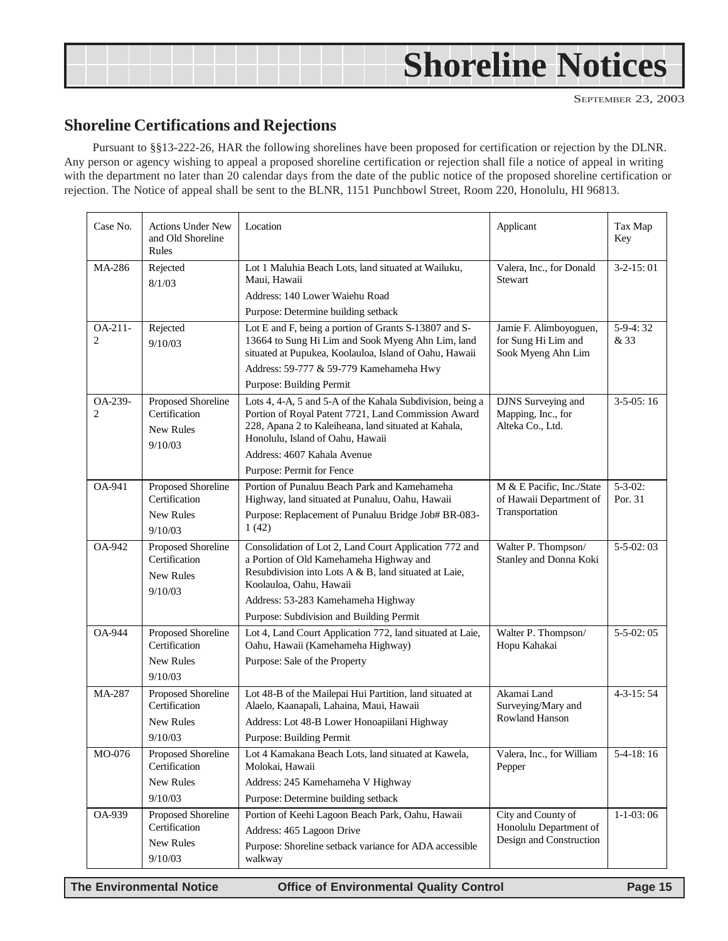# <span id="page-14-0"></span>**Shoreline Notices**

#### **Shoreline Certifications and Rejections**

Pursuant to §§13-222-26, HAR the following shorelines have been proposed for certification or rejection by the DLNR. Any person or agency wishing to appeal a proposed shoreline certification or rejection shall file a notice of appeal in writing with the department no later than 20 calendar days from the date of the public notice of the proposed shoreline certification or rejection. The Notice of appeal shall be sent to the BLNR, 1151 Punchbowl Street, Room 220, Honolulu, HI 96813.

| Case No.                  | <b>Actions Under New</b><br>and Old Shoreline<br>Rules             | Location                                                                                                                                                                                                                                                                 | Applicant                                                               | Tax Map<br>Key            |
|---------------------------|--------------------------------------------------------------------|--------------------------------------------------------------------------------------------------------------------------------------------------------------------------------------------------------------------------------------------------------------------------|-------------------------------------------------------------------------|---------------------------|
| MA-286                    | Rejected<br>8/1/03                                                 | Lot 1 Maluhia Beach Lots, land situated at Wailuku,<br>Maui, Hawaii<br>Address: 140 Lower Waiehu Road<br>Purpose: Determine building setback                                                                                                                             | Valera, Inc., for Donald<br>Stewart                                     | $3-2-15:01$               |
| OA-211-<br>2              | Rejected<br>9/10/03                                                | Lot E and F, being a portion of Grants S-13807 and S-<br>13664 to Sung Hi Lim and Sook Myeng Ahn Lim, land<br>situated at Pupukea, Koolauloa, Island of Oahu, Hawaii<br>Address: 59-777 & 59-779 Kamehameha Hwy<br>Purpose: Building Permit                              | Jamie F. Alimboyoguen,<br>for Sung Hi Lim and<br>Sook Myeng Ahn Lim     | $5-9-4:32$<br>& 33        |
| OA-239-<br>$\overline{c}$ | Proposed Shoreline<br>Certification<br>New Rules<br>9/10/03        | Lots 4, 4-A, 5 and 5-A of the Kahala Subdivision, being a<br>Portion of Royal Patent 7721, Land Commission Award<br>228, Apana 2 to Kaleiheana, land situated at Kahala,<br>Honolulu, Island of Oahu, Hawaii<br>Address: 4607 Kahala Avenue<br>Purpose: Permit for Fence | DJNS Surveying and<br>Mapping, Inc., for<br>Alteka Co., Ltd.            | $3-5-05:16$               |
| <b>OA-941</b>             | Proposed Shoreline<br>Certification<br>New Rules<br>9/10/03        | Portion of Punaluu Beach Park and Kamehameha<br>Highway, land situated at Punaluu, Oahu, Hawaii<br>Purpose: Replacement of Punaluu Bridge Job# BR-083-<br>1(42)                                                                                                          | M & E Pacific, Inc./State<br>of Hawaii Department of<br>Transportation  | $5 - 3 - 02$ :<br>Por. 31 |
| OA-942                    | Proposed Shoreline<br>Certification<br>New Rules<br>9/10/03        | Consolidation of Lot 2, Land Court Application 772 and<br>a Portion of Old Kamehameha Highway and<br>Resubdivision into Lots A & B, land situated at Laie,<br>Koolauloa, Oahu, Hawaii<br>Address: 53-283 Kamehameha Highway<br>Purpose: Subdivision and Building Permit  | Walter P. Thompson/<br>Stanley and Donna Koki                           | $5 - 5 - 02:03$           |
| <b>OA-944</b>             | Proposed Shoreline<br>Certification<br>New Rules<br>9/10/03        | Lot 4, Land Court Application 772, land situated at Laie,<br>Oahu, Hawaii (Kamehameha Highway)<br>Purpose: Sale of the Property                                                                                                                                          | Walter P. Thompson/<br>Hopu Kahakai                                     | $5 - 5 - 02:05$           |
| MA-287                    | Proposed Shoreline<br>Certification<br><b>New Rules</b><br>9/10/03 | Lot 48-B of the Mailepai Hui Partition, land situated at<br>Alaelo, Kaanapali, Lahaina, Maui, Hawaii<br>Address: Lot 48-B Lower Honoapiilani Highway<br>Purpose: Building Permit                                                                                         | Akamai Land<br>Surveying/Mary and<br>Rowland Hanson                     | $4 - 3 - 15:54$           |
| MO-076                    | Proposed Shoreline<br>Certification<br>New Rules<br>9/10/03        | Lot 4 Kamakana Beach Lots, land situated at Kawela,<br>Molokai, Hawaii<br>Address: 245 Kamehameha V Highway<br>Purpose: Determine building setback                                                                                                                       | Valera, Inc., for William<br>Pepper                                     | $5-4-18:16$               |
| OA-939                    | Proposed Shoreline<br>Certification<br>New Rules<br>9/10/03        | Portion of Keehi Lagoon Beach Park, Oahu, Hawaii<br>Address: 465 Lagoon Drive<br>Purpose: Shoreline setback variance for ADA accessible<br>walkway                                                                                                                       | City and County of<br>Honolulu Department of<br>Design and Construction | $1-1-03:06$               |

**The Environmental Notice Office of Environmental Quality Control Page 15**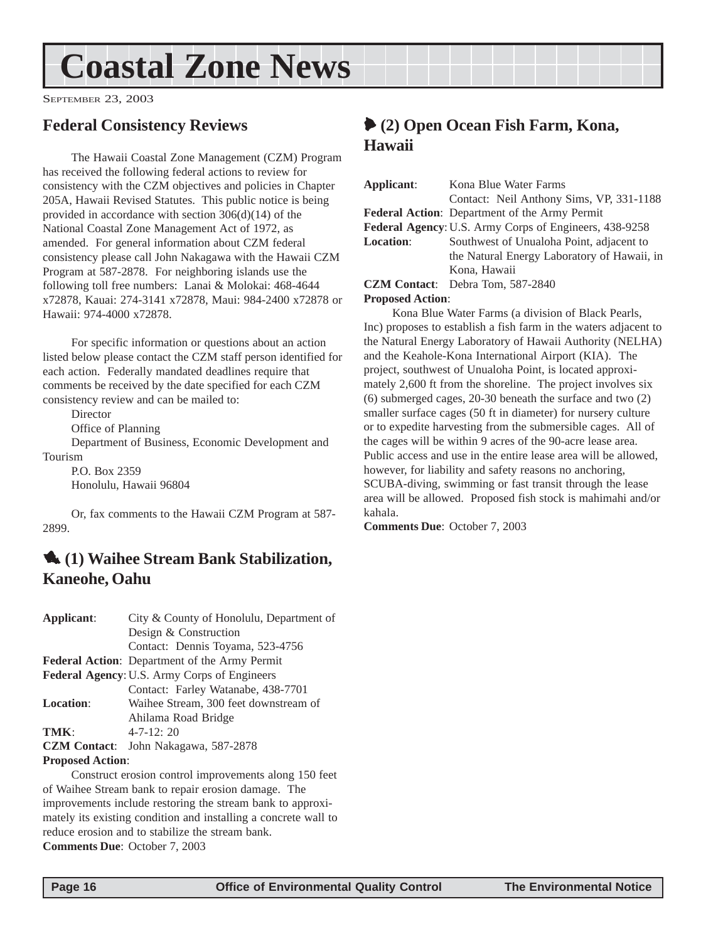# <span id="page-15-0"></span>**Coastal Zone News**

SEPTEMBER 23, 2003

#### **Federal Consistency Reviews**

The Hawaii Coastal Zone Management (CZM) Program has received the following federal actions to review for consistency with the CZM objectives and policies in Chapter 205A, Hawaii Revised Statutes. This public notice is being provided in accordance with section 306(d)(14) of the National Coastal Zone Management Act of 1972, as amended. For general information about CZM federal consistency please call John Nakagawa with the Hawaii CZM Program at 587-2878. For neighboring islands use the following toll free numbers: Lanai & Molokai: 468-4644 x72878, Kauai: 274-3141 x72878, Maui: 984-2400 x72878 or Hawaii: 974-4000 x72878.

For specific information or questions about an action listed below please contact the CZM staff person identified for each action. Federally mandated deadlines require that comments be received by the date specified for each CZM consistency review and can be mailed to:

Director

Office of Planning

Department of Business, Economic Development and Tourism

P.O. Box 2359 Honolulu, Hawaii 96804

Or, fax comments to the Hawaii CZM Program at 587- 2899.

#### 1 **(1) Waihee Stream Bank Stabilization, Kaneohe, Oahu**

| Applicant:              | City & County of Honolulu, Department of              |
|-------------------------|-------------------------------------------------------|
|                         | Design & Construction                                 |
|                         | Contact: Dennis Toyama, 523-4756                      |
|                         | <b>Federal Action:</b> Department of the Army Permit  |
|                         | Federal Agency: U.S. Army Corps of Engineers          |
|                         | Contact: Farley Watanabe, 438-7701                    |
| <b>Location:</b>        | Waihee Stream, 300 feet downstream of                 |
|                         | Ahilama Road Bridge                                   |
| TMK:                    | $4 - 7 - 12$ : 20                                     |
|                         | <b>CZM Contact:</b> John Nakagawa, 587-2878           |
| <b>Proposed Action:</b> |                                                       |
|                         | Construct erosion control improvements along 150 feet |

of Waihee Stream bank to repair erosion damage. The improvements include restoring the stream bank to approximately its existing condition and installing a concrete wall to reduce erosion and to stabilize the stream bank. **Comments Due**: October 7, 2003

#### 6 **(2) Open Ocean Fish Farm, Kona, Hawaii**

| Applicant:              | Kona Blue Water Farms                                  |  |
|-------------------------|--------------------------------------------------------|--|
|                         | Contact: Neil Anthony Sims, VP, 331-1188               |  |
|                         | <b>Federal Action:</b> Department of the Army Permit   |  |
|                         | Federal Agency: U.S. Army Corps of Engineers, 438-9258 |  |
| Location:               | Southwest of Unualoha Point, adjacent to               |  |
|                         | the Natural Energy Laboratory of Hawaii, in            |  |
|                         | Kona, Hawaii                                           |  |
|                         | <b>CZM Contact:</b> Debra Tom, 587-2840                |  |
| <b>Proposed Action:</b> |                                                        |  |
|                         | Kona Blue Water Farms (a division of Black Pearls,     |  |

Inc) proposes to establish a fish farm in the waters adjacent to the Natural Energy Laboratory of Hawaii Authority (NELHA) and the Keahole-Kona International Airport (KIA). The project, southwest of Unualoha Point, is located approximately 2,600 ft from the shoreline. The project involves six (6) submerged cages, 20-30 beneath the surface and two (2) smaller surface cages (50 ft in diameter) for nursery culture or to expedite harvesting from the submersible cages. All of the cages will be within 9 acres of the 90-acre lease area. Public access and use in the entire lease area will be allowed, however, for liability and safety reasons no anchoring, SCUBA-diving, swimming or fast transit through the lease area will be allowed. Proposed fish stock is mahimahi and/or kahala.

**Comments Due**: October 7, 2003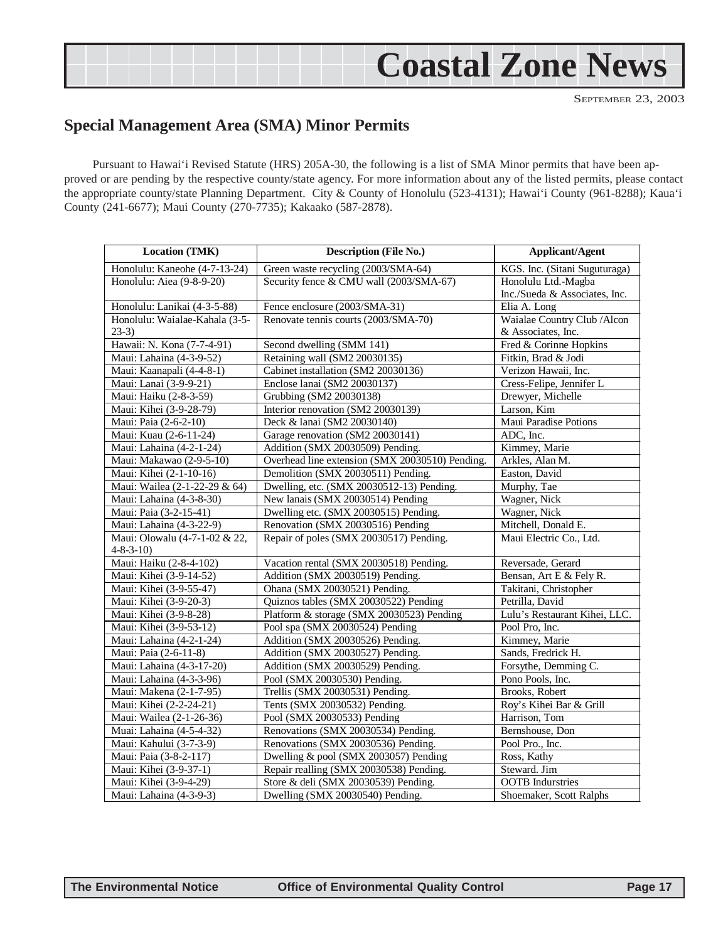# <span id="page-16-0"></span>**Coastal Zone News**

SEPTEMBER 23, 2003

#### **Special Management Area (SMA) Minor Permits**

Pursuant to Hawai'i Revised Statute (HRS) 205A-30, the following is a list of SMA Minor permits that have been approved or are pending by the respective county/state agency. For more information about any of the listed permits, please contact the appropriate county/state Planning Department. City & County of Honolulu (523-4131); Hawai'i County (961-8288); Kaua'i County (241-6677); Maui County (270-7735); Kakaako (587-2878).

| <b>Location (TMK)</b>          | Description (File No.)                          | <b>Applicant/Agent</b>        |
|--------------------------------|-------------------------------------------------|-------------------------------|
| Honolulu: Kaneohe (4-7-13-24)  | Green waste recycling (2003/SMA-64)             | KGS. Inc. (Sitani Suguturaga) |
| Honolulu: Aiea (9-8-9-20)      | Security fence & CMU wall (2003/SMA-67)         | Honolulu Ltd.-Magba           |
|                                |                                                 | Inc./Sueda & Associates, Inc. |
| Honolulu: Lanikai (4-3-5-88)   | Fence enclosure (2003/SMA-31)                   | Elia A. Long                  |
| Honolulu: Waialae-Kahala (3-5- | Renovate tennis courts (2003/SMA-70)            | Waialae Country Club / Alcon  |
| $23-3)$                        |                                                 | & Associates, Inc.            |
| Hawaii: N. Kona (7-7-4-91)     | Second dwelling (SMM 141)                       | Fred & Corinne Hopkins        |
| Maui: Lahaina (4-3-9-52)       | Retaining wall (SM2 20030135)                   | Fitkin, Brad & Jodi           |
| Maui: Kaanapali (4-4-8-1)      | Cabinet installation (SM2 20030136)             | Verizon Hawaii, Inc.          |
| Maui: Lanai (3-9-9-21)         | Enclose lanai (SM2 20030137)                    | Cress-Felipe, Jennifer L      |
| Maui: Haiku (2-8-3-59)         | Grubbing (SM2 20030138)                         | Drewyer, Michelle             |
| Maui: Kihei (3-9-28-79)        | Interior renovation (SM2 20030139)              | Larson, Kim                   |
| Maui: Paia (2-6-2-10)          | Deck & lanai (SM2 20030140)                     | Maui Paradise Potions         |
| Maui: Kuau (2-6-11-24)         | Garage renovation (SM2 20030141)                | ADC, Inc.                     |
| Maui: Lahaina (4-2-1-24)       | Addition (SMX 20030509) Pending.                | Kimmey, Marie                 |
| Maui: Makawao (2-9-5-10)       | Overhead line extension (SMX 20030510) Pending. | Arkles, Alan M.               |
| Maui: Kihei (2-1-10-16)        | Demolition (SMX 20030511) Pending.              | Easton, David                 |
| Maui: Wailea (2-1-22-29 & 64)  | Dwelling, etc. (SMX 20030512-13) Pending.       | Murphy, Tae                   |
| Maui: Lahaina (4-3-8-30)       | New lanais (SMX 20030514) Pending               | Wagner, Nick                  |
| Maui: Paia (3-2-15-41)         | Dwelling etc. (SMX 20030515) Pending.           | Wagner, Nick                  |
| Maui: Lahaina (4-3-22-9)       | Renovation (SMX 20030516) Pending               | Mitchell, Donald E.           |
| Maui: Olowalu (4-7-1-02 & 22,  | Repair of poles (SMX 20030517) Pending.         | Maui Electric Co., Ltd.       |
| $4 - 8 - 3 - 10$               |                                                 |                               |
| Maui: Haiku (2-8-4-102)        | Vacation rental (SMX 20030518) Pending.         | Reversade, Gerard             |
| Maui: Kihei (3-9-14-52)        | Addition (SMX 20030519) Pending.                | Bensan, Art E & Fely R.       |
| Maui: Kihei (3-9-55-47)        | Ohana (SMX 20030521) Pending.                   | Takitani, Christopher         |
| Maui: Kihei (3-9-20-3)         | Quiznos tables (SMX 20030522) Pending           | Petrilla, David               |
| Maui: Kihei (3-9-8-28)         | Platform & storage (SMX 20030523) Pending       | Lulu's Restaurant Kihei, LLC. |
| Maui: Kihei (3-9-53-12)        | Pool spa (SMX 20030524) Pending                 | Pool Pro, Inc.                |
| Maui: Lahaina (4-2-1-24)       | Addition (SMX 20030526) Pending.                | Kimmey, Marie                 |
| Maui: Paia (2-6-11-8)          | Addition (SMX 20030527) Pending.                | Sands, Fredrick H.            |
| Maui: Lahaina (4-3-17-20)      | Addition (SMX 20030529) Pending.                | Forsythe, Demming C.          |
| Maui: Lahaina (4-3-3-96)       | Pool (SMX 20030530) Pending.                    | Pono Pools, Inc.              |
| Maui: Makena (2-1-7-95)        | Trellis (SMX 20030531) Pending.                 | Brooks, Robert                |
| Maui: Kihei (2-2-24-21)        | Tents (SMX 20030532) Pending.                   | Roy's Kihei Bar & Grill       |
| Maui: Wailea (2-1-26-36)       | Pool (SMX 20030533) Pending                     | Harrison, Tom                 |
| Muai: Lahaina (4-5-4-32)       | Renovations (SMX 20030534) Pending.             | Bernshouse, Don               |
| Maui: Kahului (3-7-3-9)        | Renovations (SMX 20030536) Pending.             | Pool Pro., Inc.               |
| Maui: Paia (3-8-2-117)         | Dwelling & pool (SMX 2003057) Pending           | Ross, Kathy                   |
| Maui: Kihei (3-9-37-1)         | Repair realling (SMX 20030538) Pending.         | Steward. Jim                  |
| Maui: Kihei (3-9-4-29)         | Store & deli (SMX 20030539) Pending.            | <b>OOTB</b> Indurstries       |
| Maui: Lahaina (4-3-9-3)        | Dwelling (SMX 20030540) Pending.                | Shoemaker, Scott Ralphs       |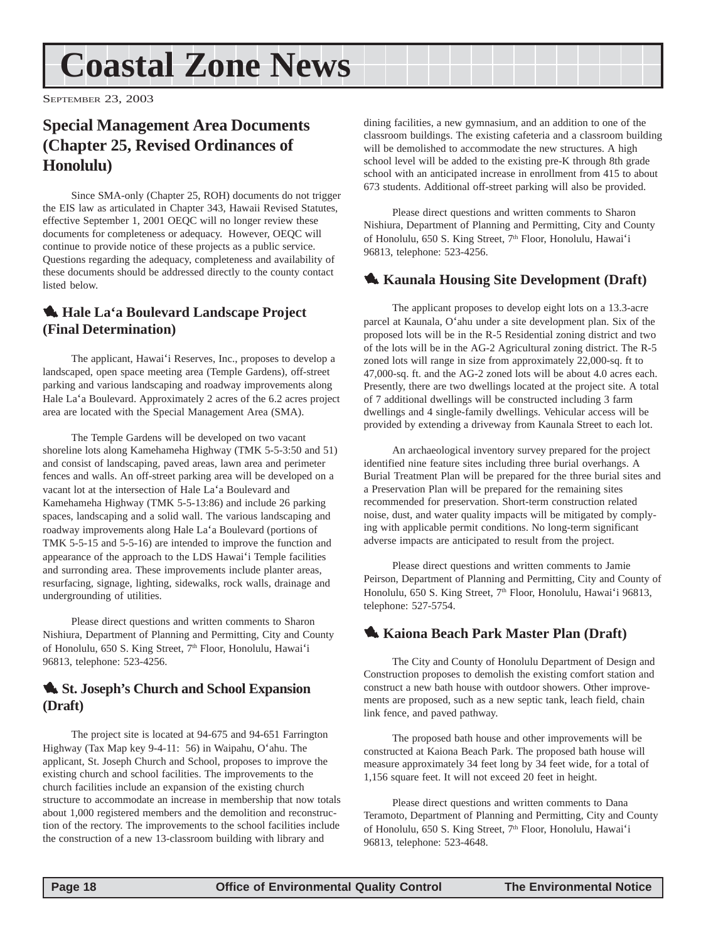# <span id="page-17-0"></span>**Coastal Zone News**

SEPTEMBER 23, 2003

#### **Special Management Area Documents (Chapter 25, Revised Ordinances of Honolulu)**

Since SMA-only (Chapter 25, ROH) documents do not trigger the EIS law as articulated in Chapter 343, Hawaii Revised Statutes, effective September 1, 2001 OEQC will no longer review these documents for completeness or adequacy. However, OEQC will continue to provide notice of these projects as a public service. Questions regarding the adequacy, completeness and availability of these documents should be addressed directly to the county contact listed below.

#### 1 **Hale La'a Boulevard Landscape Project (Final Determination)**

The applicant, Hawai'i Reserves, Inc., proposes to develop a landscaped, open space meeting area (Temple Gardens), off-street parking and various landscaping and roadway improvements along Hale La'a Boulevard. Approximately 2 acres of the 6.2 acres project area are located with the Special Management Area (SMA).

The Temple Gardens will be developed on two vacant shoreline lots along Kamehameha Highway (TMK 5-5-3:50 and 51) and consist of landscaping, paved areas, lawn area and perimeter fences and walls. An off-street parking area will be developed on a vacant lot at the intersection of Hale La'a Boulevard and Kamehameha Highway (TMK 5-5-13:86) and include 26 parking spaces, landscaping and a solid wall. The various landscaping and roadway improvements along Hale La'a Boulevard (portions of TMK 5-5-15 and 5-5-16) are intended to improve the function and appearance of the approach to the LDS Hawai'i Temple facilities and surronding area. These improvements include planter areas, resurfacing, signage, lighting, sidewalks, rock walls, drainage and undergrounding of utilities.

Please direct questions and written comments to Sharon Nishiura, Department of Planning and Permitting, City and County of Honolulu, 650 S. King Street, 7<sup>th</sup> Floor, Honolulu, Hawai'i 96813, telephone: 523-4256.

#### 1 **St. Joseph's Church and School Expansion (Draft)**

The project site is located at 94-675 and 94-651 Farrington Highway (Tax Map key 9-4-11: 56) in Waipahu, O'ahu. The applicant, St. Joseph Church and School, proposes to improve the existing church and school facilities. The improvements to the church facilities include an expansion of the existing church structure to accommodate an increase in membership that now totals about 1,000 registered members and the demolition and reconstruction of the rectory. The improvements to the school facilities include the construction of a new 13-classroom building with library and

dining facilities, a new gymnasium, and an addition to one of the classroom buildings. The existing cafeteria and a classroom building will be demolished to accommodate the new structures. A high school level will be added to the existing pre-K through 8th grade school with an anticipated increase in enrollment from 415 to about 673 students. Additional off-street parking will also be provided.

Please direct questions and written comments to Sharon Nishiura, Department of Planning and Permitting, City and County of Honolulu, 650 S. King Street, 7<sup>th</sup> Floor, Honolulu, Hawai'i 96813, telephone: 523-4256.

#### 1 **Kaunala Housing Site Development (Draft)**

The applicant proposes to develop eight lots on a 13.3-acre parcel at Kaunala, O'ahu under a site development plan. Six of the proposed lots will be in the R-5 Residential zoning district and two of the lots will be in the AG-2 Agricultural zoning district. The R-5 zoned lots will range in size from approximately 22,000-sq. ft to 47,000-sq. ft. and the AG-2 zoned lots will be about 4.0 acres each. Presently, there are two dwellings located at the project site. A total of 7 additional dwellings will be constructed including 3 farm dwellings and 4 single-family dwellings. Vehicular access will be provided by extending a driveway from Kaunala Street to each lot.

An archaeological inventory survey prepared for the project identified nine feature sites including three burial overhangs. A Burial Treatment Plan will be prepared for the three burial sites and a Preservation Plan will be prepared for the remaining sites recommended for preservation. Short-term construction related noise, dust, and water quality impacts will be mitigated by complying with applicable permit conditions. No long-term significant adverse impacts are anticipated to result from the project.

Please direct questions and written comments to Jamie Peirson, Department of Planning and Permitting, City and County of Honolulu, 650 S. King Street, 7<sup>th</sup> Floor, Honolulu, Hawai'i 96813, telephone: 527-5754.

#### 1 **Kaiona Beach Park Master Plan (Draft)**

The City and County of Honolulu Department of Design and Construction proposes to demolish the existing comfort station and construct a new bath house with outdoor showers. Other improvements are proposed, such as a new septic tank, leach field, chain link fence, and paved pathway.

The proposed bath house and other improvements will be constructed at Kaiona Beach Park. The proposed bath house will measure approximately 34 feet long by 34 feet wide, for a total of 1,156 square feet. It will not exceed 20 feet in height.

Please direct questions and written comments to Dana Teramoto, Department of Planning and Permitting, City and County of Honolulu, 650 S. King Street, 7<sup>th</sup> Floor, Honolulu, Hawai'i 96813, telephone: 523-4648.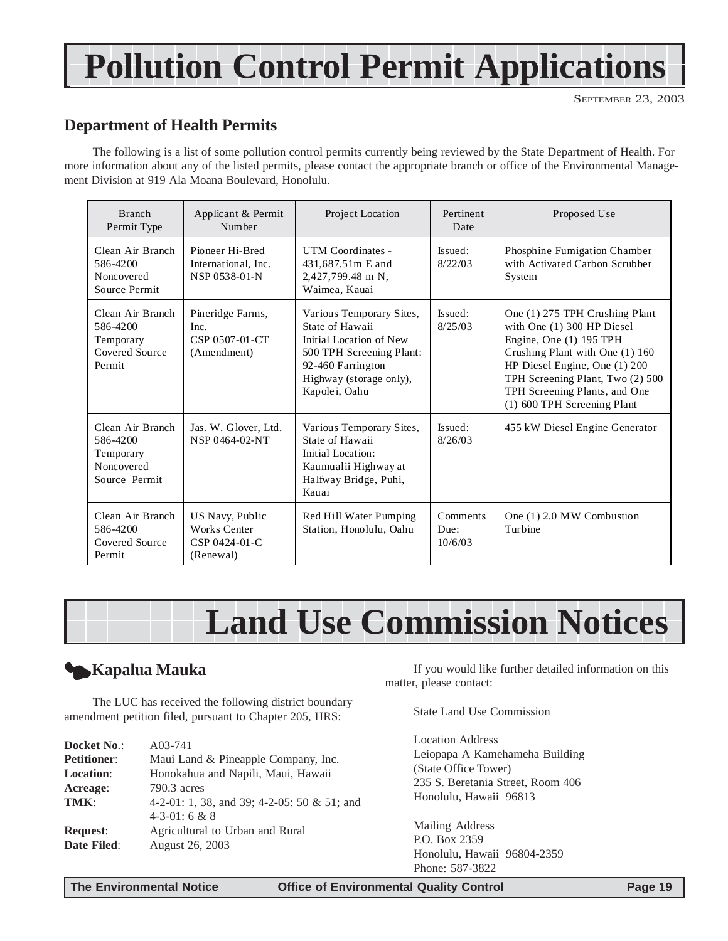# **Pollution Control Permit Applications**

#### **Department of Health Permits**

The following is a list of some pollution control permits currently being reviewed by the State Department of Health. For more information about any of the listed permits, please contact the appropriate branch or office of the Environmental Management Division at 919 Ala Moana Boulevard, Honolulu.

| <b>Branch</b><br>Permit Type                                             | Applicant & Permit<br>Number                                         | Project Location                                                                                                                                                    | Pertinent<br>Date           | Proposed Use                                                                                                                                                                                                                                                      |
|--------------------------------------------------------------------------|----------------------------------------------------------------------|---------------------------------------------------------------------------------------------------------------------------------------------------------------------|-----------------------------|-------------------------------------------------------------------------------------------------------------------------------------------------------------------------------------------------------------------------------------------------------------------|
| Clean Air Branch<br>586-4200<br>Noncovered<br>Source Permit              | Pioneer Hi-Bred<br>International, Inc.<br>NSP 0538-01-N              | UTM Coordinates -<br>431,687.51m E and<br>2,427,799.48 m N,<br>Waimea, Kauai                                                                                        | Issued:<br>8/22/03          | Phosphine Fumigation Chamber<br>with Activated Carbon Scrubber<br>System                                                                                                                                                                                          |
| Clean Air Branch<br>586-4200<br>Temporary<br>Covered Source<br>Permit    | Pineridge Farms,<br>Inc.<br>CSP 0507-01-CT<br>(Amendment)            | Various Temporary Sites,<br>State of Hawaii<br>Initial Location of New<br>500 TPH Screening Plant:<br>92-460 Farrington<br>Highway (storage only),<br>Kapolei, Oahu | Issued:<br>8/25/03          | One (1) 275 TPH Crushing Plant<br>with One $(1)$ 300 HP Diesel<br>Engine, One (1) 195 TPH<br>Crushing Plant with One (1) 160<br>HP Diesel Engine, One (1) 200<br>TPH Screening Plant, Two (2) 500<br>TPH Screening Plants, and One<br>(1) 600 TPH Screening Plant |
| Clean Air Branch<br>586-4200<br>Temporary<br>Noncovered<br>Source Permit | Jas. W. Glover, Ltd.<br>NSP 0464-02-NT                               | Various Temporary Sites,<br>State of Hawaii<br>Initial Location:<br>Kaumualii Highway at<br>Halfway Bridge, Puhi,<br>Kauai                                          | Issued:<br>8/26/03          | 455 kW Diesel Engine Generator                                                                                                                                                                                                                                    |
| Clean Air Branch<br>586-4200<br>Covered Source<br>Permit                 | US Navy, Public<br><b>Works Center</b><br>CSP 0424-01-C<br>(Renewal) | Red Hill Water Pumping<br>Station, Honolulu, Oahu                                                                                                                   | Comments<br>Due:<br>10/6/03 | One (1) 2.0 MW Combustion<br>Turbine                                                                                                                                                                                                                              |



#### 3**Kapalua Mauka**

The LUC has received the following district boundary amendment petition filed, pursuant to Chapter 205, HRS:

| Docket No.:        | A03-741                                     |
|--------------------|---------------------------------------------|
| <b>Petitioner:</b> | Maui Land & Pineapple Company, Inc.         |
| <b>Location:</b>   | Honokahua and Napili, Maui, Hawaii          |
| Acreage:           | 790.3 acres                                 |
| TMK:               | 4-2-01: 1, 38, and 39; 4-2-05: 50 & 51; and |
|                    | $4-3-01:6 & 8$                              |
| <b>Request:</b>    | Agricultural to Urban and Rural             |
| Date Filed:        | August 26, 2003                             |
|                    |                                             |

If you would like further detailed information on this matter, please contact:

State Land Use Commission

Location Address Leiopapa A Kamehameha Building (State Office Tower) 235 S. Beretania Street, Room 406 Honolulu, Hawaii 96813

Mailing Address P.O. Box 2359 Honolulu, Hawaii 96804-2359 Phone: 587-3822

**The Environmental Notice Office of Environmental Quality Control Page 19**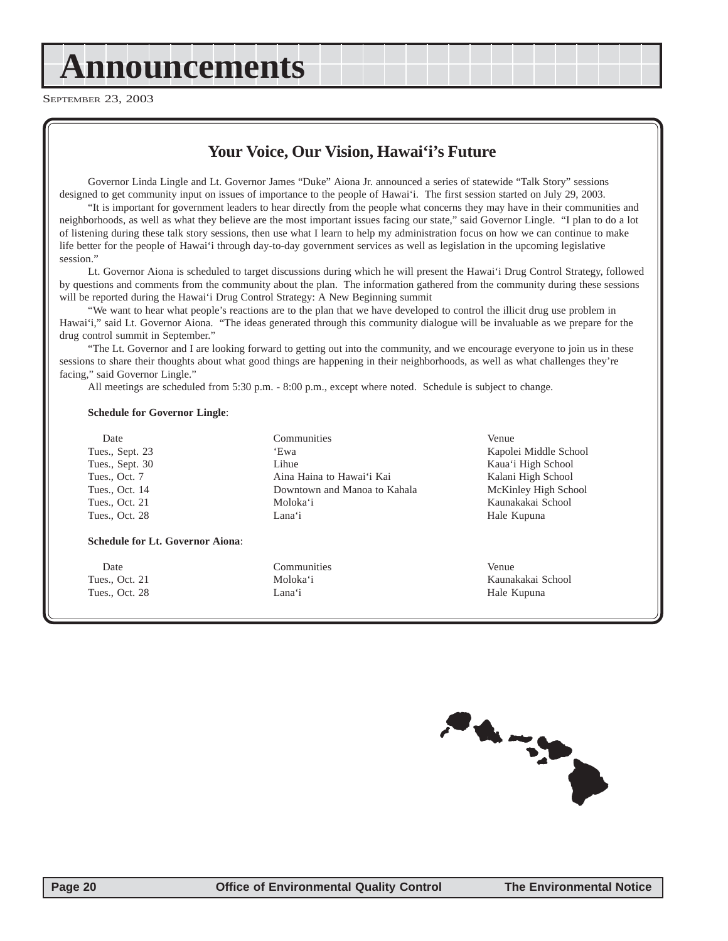# <span id="page-19-0"></span>**Announcements**

SEPTEMBER 23, 2003

#### **Your Voice, Our Vision, Hawai'i's Future**

Governor Linda Lingle and Lt. Governor James "Duke" Aiona Jr. announced a series of statewide "Talk Story" sessions designed to get community input on issues of importance to the people of Hawai'i. The first session started on July 29, 2003.

"It is important for government leaders to hear directly from the people what concerns they may have in their communities and neighborhoods, as well as what they believe are the most important issues facing our state," said Governor Lingle. "I plan to do a lot of listening during these talk story sessions, then use what I learn to help my administration focus on how we can continue to make life better for the people of Hawai'i through day-to-day government services as well as legislation in the upcoming legislative session."

Lt. Governor Aiona is scheduled to target discussions during which he will present the Hawai'i Drug Control Strategy, followed by questions and comments from the community about the plan. The information gathered from the community during these sessions will be reported during the Hawai'i Drug Control Strategy: A New Beginning summit

"We want to hear what people's reactions are to the plan that we have developed to control the illicit drug use problem in Hawai'i," said Lt. Governor Aiona. "The ideas generated through this community dialogue will be invaluable as we prepare for the drug control summit in September."

"The Lt. Governor and I are looking forward to getting out into the community, and we encourage everyone to join us in these sessions to share their thoughts about what good things are happening in their neighborhoods, as well as what challenges they're facing," said Governor Lingle."

All meetings are scheduled from 5:30 p.m. - 8:00 p.m., except where noted. Schedule is subject to change.

#### **Schedule for Governor Lingle**:

Date Communities Venue

#### **Schedule for Lt. Governor Aiona**:

Date Communities Communities Venue Tues., Oct. 28 Lana'i **Hale Kupuna** Hale Kupuna

Tues., Sept. 30 Lihue Lihue Kaua'i High School Tues., Oct. 7 **Aina Haina to Hawai'i Kai** Kalani High School Tues., Oct. 14 **Downtown and Manoa to Kahala** McKinley High School Tues., Oct. 21 Moloka'i Kaunakakai School Tues., Oct. 28 Lana'i **Hale Kupuna** Lana'i Hale Kupuna

Tues., Sept. 23 'Ewa 'Ewa Kapolei Middle School

Tues., Oct. 21 **Moloka'i** Moloka'i Kaunakakai School

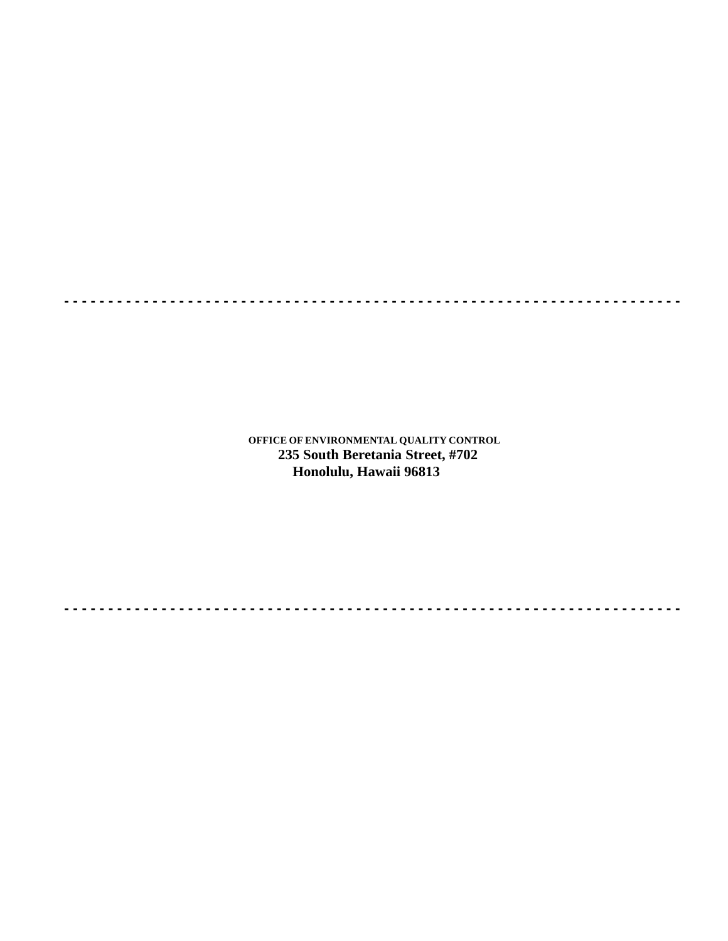**OFFICE OF ENVIRONMENTAL QUALITY CONTROL 235 South Beretania Street, #702 Honolulu, Hawaii 96813**

**- - - - - - - - - - - - - - - - - - - - - - - - - - - - - - - - - - - - - - - - - - - - - - - - - - - - - - - - - - - - - - - - - - - - - -**

**- - - - - - - - - - - - - - - - - - - - - - - - - - - - - - - - - - - - - - - - - - - - - - - - - - - - - - - - - - - - - - - - - - - - - -**